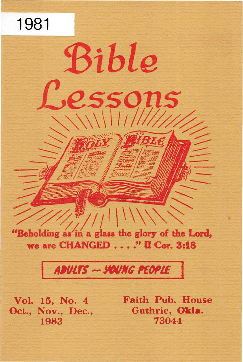"Beholding as in a glass the glory of the Lord, we are CHANGED . . . . " II Cor. 3:18

 $(1/|1|)$ 

Bible

essons

# ADULTS - YOUNG PEOPLE

Vol. 15, No. 4 Oct., Nov., Dec., 1983

1981

Faith Pub. House Guthrie, Okla. 73044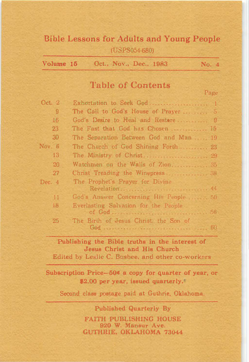# Bible Lessons for Adults and Young People (USPS054-680)

| Volume 15 |  | Oct., Nov., Dec., 1983 | No. 4 |
|-----------|--|------------------------|-------|
|           |  |                        |       |

# Table of Contents

Page

| Oct. $2$ | Exhortation to Seek God 1              |  |
|----------|----------------------------------------|--|
| 9        | The Call to God's House of Prayer  5   |  |
| 16       | God's Desire to Heal and Restore  9    |  |
| 23       | The Fast that God has Chosen  15       |  |
| 30       | The Separation Between God and Man  19 |  |
| Nov. 6   | The Church of God Shining Forth 23     |  |
| 13       | The Ministry of Christ 29              |  |
| 20       | Watchmen on the Walls of Zion 35       |  |
| 27       | Christ Treading the Winepress          |  |
| Dec. $4$ | The Prophet's Prayer for Divine        |  |
|          | Revelation 44                          |  |
| 11       | God's Answer Concerning His People  50 |  |
| 18       | Everlasting Salvation for the People   |  |
| 25       | The Birth of Jesus Christ, the Son of  |  |

# Publishing tbe Bible truths in the interest of Jesus Christ and His Church

Edited by Leslie C. Busbee, and other co-workers

Subscription Price-50� a copy for quarter of year, or �2.00 per year, issued quarterly.

Second class postage paid at Guthrie, Oklahoma.

Published Quarterly By FAITH PUBLISHING HOUSE 920 W. Mansur Ave. GUTHRIE, OKLAHOMA 73044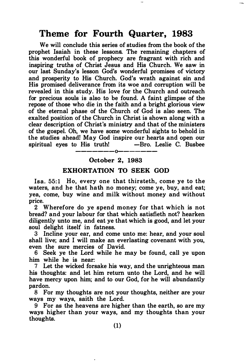# Theme for Fourth Quarter, 1983

We will conclude this series of studies from the book of the prophet Isaiah in these lessons. The remaining chapters of this wonderful book of prophecy are fragrant with rich and inspiring truths of Christ Jesus and His Church. We saw in our last Sunday's lesson God's wonderful promises of victory and prosperity to His Church. God's wrath against sin and His promised deliverance from its woe and corruption will be revealed in this study. His love for the Church and outreach for precious souls is also to be found. A faint glimpse of the repose of those who die in the faith and a bright glorious view of the eternal phase of the Church of God is also seen. The exalted position of the Church in Christ is shown along with a clear description of Christ's ministry and that of the ministers of the gospel. Oh, we have some wonderful sights to behold in the studies ahead! May God inspire our hearts and open our spiritual eyes to His truth!

#### -------0------- 0ctober 2, 1983

#### EXHORTATION TO SEEK GOD

Isa. 55:1 Ho, every one that thirsteth, come ye to the waters, and he that hath no money; come ye, buy, and eat; yea, come, buy wine and milk without money and without price.

2 Wherefore do ye spend money for that which is not bread? and your labour for that which satisfieth not? hearken diligently unto me, and eat ye that which is good, and let your soul delight itself in fatness.

Incline your ear, and come unto me: hear, and your soul shall live; and I will make an everlasting covenant with you, even the sure mercies of David.

6 Seek ye the Lord while he may be found, call ye upon him while he is near:

7 Let the wicked forsake his way, and the unrighteous man his thoughts: and let him return unto the Lord, and he will have mercy upon him; and to our God, for he will abundantly pardon.

8 For my thoughts are not your thoughts, neither are your ways my ways, saith the Lord.

9 For as the heavens are higher than the earth, so are my ways higher than your ways, and my thoughts than your thoughts.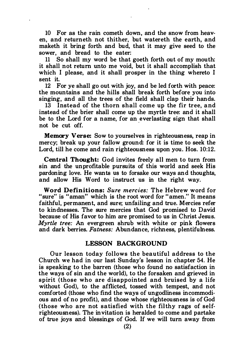10 For as the rain cometh down, and the snow from heaven, and returneth not thither, but watereth the earth, and maketh it bring forth and bud, that it may give seed to the sower, and bread to the eater:

11 So shall my word be that goeth forth out of my mouth: it shall not return unto me void, but it shall accomplish that which I please, and it shall prosper in the thing whereto I sent it.

12 For ye shall go out with joy, and be led forth with peace: the mountains and the hills shall break forth before you into singing, and all the trees of the field shall clap their hands.

13 Instead of the thorn shall come up the fir tree, and instead of the brier shall come up the myrtle tree: and it shall be to the Lord for a name, for an everlasting sign that shall not be cut off.

Memory Verse: Sow to yourselves in righteousness, reap in mercy; break up your fallow ground: for it is time to seek the Lord, till he come and rain righteousness upon you. Hos. 10:12.

Central Thought: God invites freely all men to turn from sin and the unprofitable pursuits of this world and seek His pardoning love. He wants us to forsake our ways and thoughts, and allow His Word to instruct us in the right way.

Word Definitions: Sure mercies: The Hebrew word for "sure" is "aman" which is the root word for "amen." It means faithful, permanent, and sure; unfailing and true. Mercies refer to kindnesses. The sure mercies that God promised to David because of His favor to him are promised to us in Christ Jesus. Myrtle tree: An evergreen shrub with white or pink flowers and dark berries. Fatness: Abundance, richness, plentifulness.

#### LESSON BACKGROUND

Our lesson today follows the beautiful address to the Church we had in our last Sunday's lesson in chapter 54. He is speaking to the barren (those who found no satisfaction in the ways of sin and the world), to the forsaken and grieved in spirit (those who are disappointed and bruised by a life without God), to the afflicted, tossed with tempest, and not comforted (those who find the ways of ungodliness incommodious and of no profit), and those whose righteousness is of God (those who are not satisfied with the filthy rags of selfrighteousness). The invitation is heralded to come and partake of true joys and blessings of God. If we will turn away from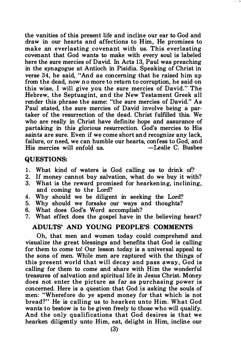the vanities of this present life and incline our ear to God and draw in our hearts and affections to Him. He promises to make an everlasting covenant with us. This everlasting covenant that God wants to make with every soul is labeled here the sure mercies of David. In Acts 13, Paul was preaching in the synagogue at Antioch in Pisidia. Speaking of Christ in verse 34, he said, "And as concerning that he raised him up from the dead, now no more to return to corruption, he said on this wise, I will give you the sure mercies of David." The Hebrew, the Septuagint, and the New Testament Greek all render this phrase the same: "the sure mercies of David." As Paul stated, the sure mercies of David involve being a partaker of the resurrection of the dead. Christ fulfilled this. We who are really in Christ have definite hope and assurance of partaking in this glorious resurrection. God's mercies to His saints are sure. Even if we come short and recognize any lack, failure, or need, we can humble our hearts, confess to God, and  $His$  mercies will enfold us.  $-Leslie$   $C.$  Busbee

#### QUESTIONS:

- 1. What kind of waters is God calling us to drink of?
- 2. If money cannot buy salvation, what do we buy it with?
- 3. What is the reward promised for hearkening, inclining, and coming to the Lord?
- 4. Why should we be diligent in seeking the Lord?
- 5. Why should we forsake our ways and thoughts?
- 6. What does God's Word accomplish?
- 7. What effect does the gospel have in the believing heart?

#### ADULTS' AND YOUNG PEOPLE'S COMMENTS

Oh, that men and women today could comprehend and visualize the great blessings and benefits that God is calling for them to come to! Our lesson today is a universal appeal to the sons of men. While men are raptured with the things of this present world that will decay and pass away, God is calling for them to come and share with Him the wonderful treasures of salvation and spiritual life in Jesus Christ. Money does not enter the picture as far as purchasing power is concerned. Here is a question that God is asking the souls of men: "Wherefore do ye spend money for that which is not bread?" He is calling us to hearken unto Him. What God wants to bestow is to be given freely to those who will qualify. And the only qualifications that God desires is that we hearken diligently unto Him, eat, delight in Him, incline our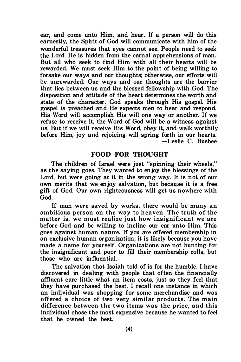ear, and come unto Him, and hear. If a person will do this earnestly, the Spirit of God will communicate with him of the wonderful treasures that eyes cannot see. People need to seek the Lord. He is hidden from the carnal apprehensions of man. But all who seek to find Him with all their hearts will be rewarded. We must seek Him to the point of being willing to forsake our ways and our thoughts; otherwise, our efforts will be unrewarded. Our ways and our thoughts are the barrier that lies between us and the blessed fellowship with God. The disposition and attitude of the heart determines the worth and state of the character. God speaks through His gospel. His gospel is preached and He expects men to hear and respond. His Word will accomplish His will one way or another. If we refuse to receive it, the Word of God will be a witness against us. But if we will receive His Word, obey it, and walk worthily before Him, joy and rejoicing will spring forth in our hearts. -Leslie C. Busbee

#### FOOD FOR THOUGHT

The children of Israel were just "spinning their wheels," as the saying goes. They wanted to enjoy the blessings of the Lord, but were going at it in the wrong way. It is not of our own merits that we enjoy salvation, but because it is a free gift of God. Our own righteousness will get us nowhere with God.

If man were saved by works, there would be many an ambitious person on the way to heaven. The truth of the matter is, we must realize just how insignificant we are before God and be willing to incline our ear unto Him. This goes against human nature. If you are offered membership in an exclusive human organization, it is likely because you have made a name for yourself. Organizations are not hunting for the insignificant and poor to fill their membership rolls, but those who are influential.

The salvation that Isaiah told of is for the humble. I have discovered in dealing with people that often the financially affluent care little what an item costs, just so they feel that they have purchased the best. I recall one instance in which an individual was shopping for some merchandise and was offered a choice of two very similar products. The main difference between the two items was the price, and this individual chose the most expensive because he wanted to feel that he owned the best.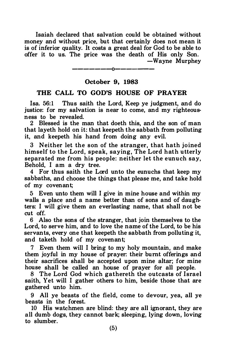Isaiah declared that salvation could be obtained without money and without price, but that certainly does not mean it is of inferior quality. It costs a great deal for God to be able to offer it to us. The price was the death of His only Son. -Wayne Murphey

> -------0------ October 9, 1983

#### THE CALL TO GOD'S HOUSE OF PRAYER

Isa. 56:1 Thus saith the Lord, Keep ye judgment, and do justice: for my salvation is near to come, and my righteousness to be revealed.

2 Blessed is the man that doeth this, and the son of man that layeth hold on it: that keepeth the sabbath from polluting it, and keepeth his hand from doing any evil.

3 Neither let the son of the stranger, that hath joined himself to the Lord, speak, saying, The Lord hath utterly separated me from his people: neither let the eunuch say. Behold, I am a dry tree.

4 For thus saith the Lord unto the eunuchs that keep my sabbaths, and choose the things that please me, and take hold of my covenant;

5 Even unto them will I give in mine house and within my walls a place and a name better than of sons and of daughters: I will give them an everlasting name, that shall not be cut off.

6 Also the sons of the stranger, that join themselves to the Lord, to serve him, and to love the name of the Lord, to be his servants, every one that keepeth the sabbath from polluting it, and taketh hold of my covenant;

7 Even them will I bring to my holy mountain, and make them joyful in my house of prayer: their burnt offerings and their sacrifices shall be accepted upon mine altar; for mine house shall be called an house of prayer for all people.

8 The Lord God which gathereth the outcasts of Israel saith, Yet will I gather others to him, beside those that are gathered unto him.

9 All ye beasts of the field, come to devour, yea, all ye beasts in the forest.

10 His watchmen are blind: they are all ignorant, they are all dumb dogs, they cannot bark; sleeping, lying down, loving to slumber.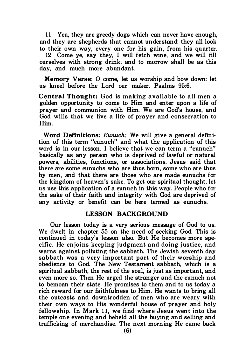11 Yea, they are greedy dogs which can never have enough, and they are shepherds that cannot understand: they all look to their own way, every one for his gain, from his quarter.

12 Come ye, say they, I will fetch wine, and we will fill ourselves with strong drink; and to morrow shall be as this day, and much more abundant.

Memory Verse: O come, let us worship and bow down: let us kneel before the Lord our maker. Psalms 95:6.

Central Thought: God is making available to all men a golden opportunity to come to Him and enter upon a life of prayer and communion with Him. We are God's house, and God wills that we live a life of prayer and consecration to Him.

Word Definitions: Eunuch: We will give a general definition of this term "eunuch" and what the application of this word is in our lesson. I believe that we can term a "eunuch" basically as any person who is deprived of lawful or natural powers, abilities, functions, or associations. Jesus said that there are some eunuchs who are thus born, some who are thus by men, and that there are those who are made eunuchs for the kingdom of heaven's sake. To get our spiritual thought, let us use this application of a eunuch in this way. People who for the sake of their faith and integrity with God are deprived of any activity or benefit can be here termed as eunuchs.

#### LESSON BACKGROUND

Our lesson today is a very serious message of God to us. We dwelt in chapter 55 on the need of seeking God. This is continued in today's lesson also. But He becomes more specific. He enjoins keeping judgment and doing justice, and warns against polluting the sabbath. The Jewish seventh day sabbath was a very important part of their worship and obedience to God. The New Testament sabbath, which is a spiritual sabbath, the rest of the soul, is just as important, and even more so. Then He urged the stranger and the eunuch not to bemoan their state. He promises to them and to us today a rich reward for our faithfulness to Him. He wants to bring all the outcasts and downtrodden of men who are weary with their own ways to His wonderful house of prayer and holy fellowship. In Mark 11, we find where Jesus went into the temple one evening and beheld all the buying and selling and trafficking of merchandise. The next morning He came back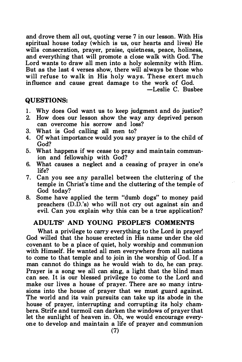and drove them all out, quoting verse 7 in our lesson. With His spiritual house today (which is us, our hearts and lives) He wills consecration, prayer, praise, quietness, peace, holiness, and everything that will promote a close walk with God. The Lord wants to draw all men into a holy solemnity with Him. But as the last 4 verses show, there will always be those who will refuse to walk in His holy ways. These exert much influence and cause great damage to the work of God.

-Leslie C. Busbee

#### QUESTIONS:

- 1. Why does God want us to keep judgment and do justice?
- 2. How does our lesson show the way any deprived person can overcome his sorrow and loss?
- 3. What is God calling all men to?
- 4. Of what importance would you say prayer is to the child of God?
- 5. What happens if we cease to pray and maintain communion and fellowship with God?
- 6. What causes a neglect and a ceasing of prayer in one's life?
- 7. Can you see any parallel between the cluttering of the temple in Christ's time and the cluttering of the temple of God today?
- 8. Some have applied the term "dumb dogs" to money paid preachers (D.D.'s) who will not cry out against sin and evil. Can you explain why this can be a true application?

#### ADULTS' AND YOUNG PEOPLE'S COMMENTS

What a privilege to carry everything to the Lord in prayer! God willed that the house erected in His name under the old covenant to be a place of quiet, holy worship and communion with Himself. He wanted all men everywhere from all nations to come to that temple and to join in the worship of God. If a man cannot do things as he would wish to do, he can pray. Prayer is a song we all can sing, a light that the blind man can see. It is our blessed privilege to come to the Lord and make our lives a house of prayer. There are so many intrusions into the house of prayer that we must guard against. The world and its vain pursuits can take up its abode in the house of prayer, interrupting and corrupting its holy chambers. Strife and turmoil can darken the windows of prayer that let the sunlight of heaven in. Oh, we would encourage everyone to develop and maintain a life of prayer and communion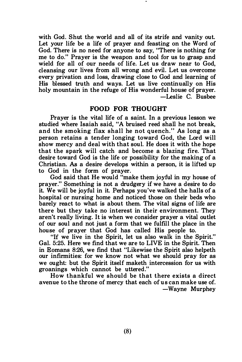with God. Shut the world and all of its strife and vanity out. Let your life be a life of prayer and feasting on the Word of God. There is no need for anyone to say, "There is nothing for me to do." Prayer is the weapon and tool for us to grasp and wield for all of our needs of life. Let us draw near to God, cleansing our lives from all wrong and evil. Let us overcome every privation and loss, drawing close to God and learning of His blessed truth and ways. Let us live continually on His holy mountain in the refuge of His wonderful house of prayer. -Leslie C. Busbee

#### FOOD FOR THOUGHT

Prayer is the vital life of a saint. In a previous lesson we studied where Isaiah said, "A bruised reed shall he not break, and the smoking flax shall he not quench." As long as a person retains a tender longing toward God, the Lord will show mercy and deal with that soul. He does it with the hope that the spark will catch and become a blazing fire. That desire toward God is the life or possibility for the making of a Christian. As a desire develops within a person, it is lifted up to God in the form of prayer.

God said that He would "make them joyful in my house of prayer." Something is not a drudgery if we have a desire to do it. We will be joyful in it. Perhaps you've walked the halls of a hospital or nursing home and noticed those on their beds who barely react to what is about them. The vital signs of life are there but they take no interest in their environment. They aren't really living. It is when we consider prayer a vital outlet of our soul and not just a form that we fulfill the place in the house of prayer that God has called His people to.

"If we live in the Spirit, let us also walk in the Spirit." Gal. 5:25. Here we find that we are to LIVE in the Spirit. Then in Romans 8:26, we find that "Likewise the Spirit also helpeth our infirmities: for we know not what we should pray for as we ought: but the Spirit itself maketh intercession for us with groanings which cannot be uttered."

How thankful we should be that there exists a direct avenue to the throne of mercy that each of us can make use of. -Wayne Murphey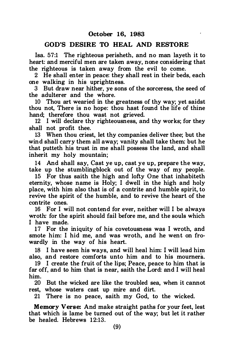#### GOD'S DESIRE TO HEAL AND RESTORE

Isa. 57:1 The righteous perisheth, and no man layeth it to heart: and merciful men are taken away, none considering that the righteous is taken away from the evil to come.

2 He shall enter in peace: they shall rest in their beds, each one walking in his uprightness.

3 But draw near hither, ye sons of the sorceress, the seed of the adulterer and the whore.

10 Thou art wearied in the greatness of thy way; yet saidst thou not, There is no hope: thou hast found the life of thine hand; therefore thou wast not grieved.

12 I will declare thy righteousness, and thy works; for they shall not profit thee.

13 When thou criest, let thy companies deliver thee; but the wind shall carry them all away; vanity shall take them: but he that putteth his trust in me shall possess the land, and shall inherit my holy mountain;

14 And shall say, Cast ye up, cast ye up, prepare the way, take up the stumblingblock out of the way of my people.

15 For thus saith the high and lofty One that inhabiteth eternity, whose name is Holy; I dwell in the high and holy place, with him also that is of a contrite and humble spirit, to revive the spirit of the humble, and to revive the heart of the contrite ones.

16 For I will not contend for ever, neither will I be always wroth: for the spirit should fail before me, and the souls which I have made.

17 For the iniquity of his covetousness was I wroth, and smote him: I hid me, and was wroth, and he went on frowardly in the way of his heart.

18 I have seen his ways, and will heal him: I will lead him also, and restore comforts unto him and to his mourners.

19 I create the fruit of the lips; Peace, peace to him that is far off, and to him that is near, saith the Lord: and I will heal him.

20 But the wicked are like the troubled sea, when it cannot rest, whose waters cast up mire and dirt.

21 There is no peace, saith my God, to the wicked.

Memory Verse: And make straight paths for your feet, lest that which is lame be turned out of the way; but let it rather be healed. Hebrews 12:13.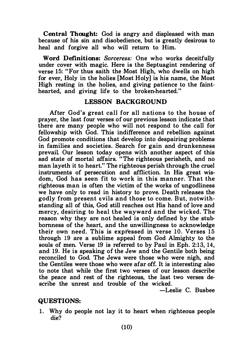Central Thought: God is angry and displeased with man because of his sin and disobedience, but is greatly desirous to heal and forgive all who will return to Him.

Word Definitions: Sorceress: One who works deceitfully under cover with magic. Here is the Septuagint rendering of verse 15: "For thus saith the Most High, who dwells on high for ever, Holy in the holies [Most Holy] is his name, the Most High resting in the holies, and giving patience to the fainthearted, and giving life to the broken-hearted."

#### LESSON BACKGROUND

After God's great call for all nations to the house of prayer, the last four verses of our previous lesson indicate that there are many people who will not respond to the call for fellowship with God. This indifference and rebellion against God promote conditions that develop into despairing problems in families and societies. Search for gain and drunkenness prevail. Our lesson today opens with another aspect of this sad state of mortal affairs. "The righteous perisheth, and no man layeth it to heart." The righteous perish through the cruel instruments of persecution and affliction. In His great wisdom, God has seen fit to work in this manner. That the righteous man is often the victim of the works of ungodliness we have only to read in history to prove. Death releases the godly from present evils and those to come. But, notwithstanding all of this, God still reaches out His hand of love and mercy, desiring to heal the wayward and the wicked. The reason why they are not healed is only defined by the stubbornness of the heart, and the unwillingness to acknowledge their own need. This is expressed in verse 10. Verses 15 through 19 are a sublime appeal from God Almighty to the souls of men. Verse 19 is referred to by Paul in Eph. 2:13, 14, and 19. He is speaking of the Jew and the Gentile both being reconciled to God. The Jews were those who were nigh, and the Gentiles were those who were afar off. It is interesting also to note that while the first two verses of our lesson describe the peace and rest of the righteous, the last two verses describe the unrest and trouble of the wicked.

-Leslie C. Busbee

#### QUESTIONS:

1. Why do people not lay it to heart when righteous people die?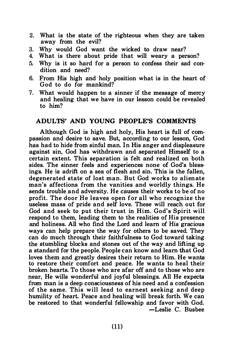- 2. What is the state of the righteous when they are taken away from the evil?
- 3. Why would God want the wicked to draw near?
- 4. What is there about pride that will weary a person?
- 5. Why is it so hard for a person to confess their sad condition and need?
- 6. From His high and holy position what is in the heart of God to do for mankind?
- 7. What would happen to a sinner if the message of mercy and healing that we have in our lesson could be revealed to him?

#### ADULTS' AND YOUNG PEOPLE'S COMMENTS

Although God is high and holy, His heart is full of compassion and desire to save. But, according to our lesson, God has had to hide from sinful man. In His anger and displeasure against sin, God has withdrawn and separated Himself to a certain extent. This separation is felt and realized on both sides. The sinner feels and experiences none of God's blessings. He is adrift on a sea of flesh and sin. This is the fallen, degenerated state of lost man. But God works to alien ate man's affections from the vanities and worldly things. He sends trouble and adversity. He causes their works to be of no profit. The door He leaves open for all who recognize the useless mass of pride and self love. These will reach out for God and seek to put their trust in Him. God's Spirit will respond to them, leading them to the realities of His presence and holiness. All who find the Lord and learn of His gracious ways can help prepare the way for others to be saved. They can do much through their faithfulness to God toward taking the stumbling blocks and stones out of the way and lifting up a standard for the people. People can know and learn that God loves them and greatly desires their return to Him. He wants to restore their comfort and peace. He wants to heal their broken hearts. To those who are afar off and to those who are near, He wills wonderful and joyful blessings. All He expects from man is a deep consciousness of his need and a confession of the same. This will lead to earnest seeking and deep humility of heart. Peace and healing will break forth. We can be restored to that wonderful fellowship and favor with God. -Leslie C. Busbee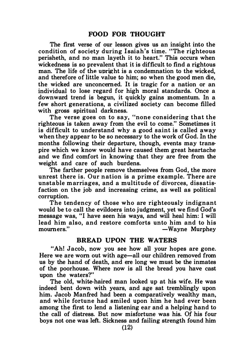The first verse of our lesson gives us an insight into the condition of society during Isaiah's time. "The righteous perisheth, and no man layeth it to heart." This occurs when wickedness is so prevalent that it is difficult to find a rightous man. The life of the upright is a condemnation to the wicked, and therefore of little value to him; so when the good men die, the wicked are unconcerned. It is tragic for a nation or an individual to lose regard for high moral standards. Once a downward trend is begun, it quickly gains momentum. In a few short generations, a civilized society can become filled with gross spiritual darkness.

The verse goes on to say, "none considering that the righteous is taken away from the evil to come." Sometimes it is difficult to understand why a good saint is called away when they appear to be so necessary to the work of God. In the months following their departure, though, events may transpire which we know would have caused them great heartache and we find comfort in knowing that they are free from the weight and care of such burdens.

The farther people remove themselves from God, the more unrest there is. Our n ation is a prime example. There are unstable m arriages, and a multitude of divorces, dissatisfaction on the job and increasing crime, as well as political corruption.

The tendency of those who are righteously indignant would be to call the evildoers into judgment, yet we find God's message was, "I have seen his ways, and will heal him: I will lead him also, and restore comforts unto him and to his -Wayne Murphey

#### BREAD UPON THE WATERS

"Ah! Jacob, now you see how all your hopes are gone. Here we are worn out with age-all our children removed from us by the hand of death, and ere long we must be the inmates of the poorhouse. Where now is all the bread you have cast upon the waters?"

The old, white-haired man looked up at his wife. He was indeed bent down with years, and age sat tremblingly upon him. Jacob Manfred had been a comparatively wealthy man, and while fortune had smiled upon him he had ever been among the first to lend a listening ear and a helping hand to the call of distress. But now misfortune was his. Of his four boys not one was left. Sickness and failing strength found him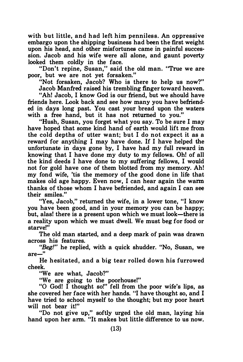with but little, and had left him penniless. An oppressive embargo upon the shipping business had been the first weight upon his head, and other misfortunes came in painful succession. Jacob and his wife were all alone, and gaunt poverty looked them coldly in the face.

"Don't repine, Susan," said the old man. "True we are poor, but we are not yet forsaken."

"Not forsaken, Jacob? Who is there to help us now?"

Jacob Manfred raised his trembling finger toward heaven.

"Ah! Jacob, I know God is our friend, but we should have friends here. Look back and see how many you have befriended in days long past. You cast your bread upon the waters with a free hand, but it has not returned to you."

"Hush, Susan, you forget what you say. To be sure I may have hoped that some kind hand of earth would lift me from the cold depths of utter want; but I do not expect it as a reward for anything I may have done. If I have helped the unfortunate in days gone by, I have had my full reward in knowing that I have done my duty to my fellows. Oh! of all the kind deeds I have done to my suffering fellows, I would not for gold have one of them blotted from my memory. Ah! my fond wife, 'tis the memory of the good done in life that makes old age happy. Even now, I can hear again the warm thanks of those whom I have befriended, and again I can see their smiles."

"Yes, Jacob," returned the wife, in a lower tone, "I know you have been good, and in your memory you can be happy; but, alas! there is a present upon which we must look-there is a reality upon which we must dwell. We must beg for food or starve!"

The old man started, and a deep mark of pain was drawn across his features.

"Beg!" he replied, with a quick shudder. "No, Susan, we are-''

He hesitated, and a big tear rolled down his furrowed cheek.

"We are what, Jacob?"

"We are going to the poorhouse!"

"0 God! I thought so!" fell from the poor wife's lips, as she covered her face with her hands. "I have thought so, and I have tried to school myself to the thought; but my poor heart will not bear it!"

"Do not give up," softly urged the old man, laying his hand upon her arm. "It makes but little difference to us now.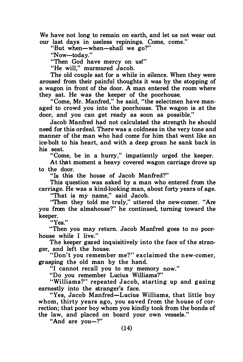We have not long to remain on earth, and let us not wear out our last days in useless repinings. Come, come."

"But when-when-shall we go?"

"Now-today."

"Then God have mercy on us!"

"He will," murmured Jacob.

The old couple sat for a while in silence. When they were aroused from their painful thoughts it was by the stopping of a wagon in front of the door. A man entered the room where they sat. He was the keeper of the poorhouse.

"Come, Mr. Manfred," he said, "the selectmen have managed to crowd you into the poorhouse. The wagon is at the door, and you can get ready as soon as possible."

Jacob Manfred had not calculated the strength he should need for this ordeal. There was a coldness in the very tone and manner of the man who had come for him that went like an ice-bolt to his heart, and with a deep groan he sank back in his seat.

"Come, be in a hurry," impatiently urged the keeper.

At that moment a heavy covered wagon carriage drove up to the door.

"Is this the house of Jacob Manfred?"

This question was asked by a man who entered from the carriage. He was a kind-looking man, about forty years of age.

"That is my name," said Jacob.

"Then they told me truly," uttered the new-comer. "Are you from the almshouse?" he continued, turning toward the keeper.

"Yes."

"Then you may return. Jacob Manfred goes to no poorhouse while I live."

The keeper gazed inquisitively into the face of the stranger, and left the house.

"Don't you remember me?" exclaimed the new-comer, grasping the old man by the hand.

"I cannot recall you to my memory now."

"Do you remember Lucius Williams?"

"Williams?" repeated Jacob, starting up and gazing earnestly into the stranger's face.

"Yes, Jacob Manfred-Lucius Williams, that little boy whom, thirty years ago, you saved from the house of correction; that poor boy whom you kindly took from the bonds of the law, and placed on board your own vessels."

"And are you-?"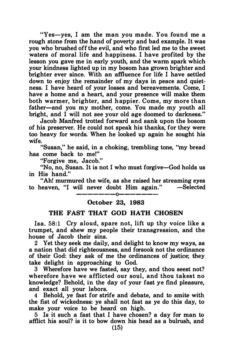"Yes-yes, I am the man you made. You found me a rough stone from the hand of poverty and bad example. It was you who brushed off the evil, and who first led me to the sweet waters of moral life and happiness. I have profited by the lesson you gave me in early youth, and the warm spark which your kindness lighted up in my bosom has grown brighter and brighter ever since. With an affluence for life I have settled down to enjoy the remainder of my days in peace and quietness. I have heard of your losses and bereavements. Come, I have a home and a heart, and your presence will make them both warmer, brighter, and h appier. Come, my more than father-and you my mother, come. You made my youth all bright, and I will not see your old age doomed to darkness."

Jacob Manfred trotted forward and sank upon the bosom of his preserver. He could not speak his thanks, for they were too heavy for words. When he looked up again he sought his wife.

"Susan," he said, in a choking, trembling tone, "my bread has come back to me!"

"Forgive me, Jacob."

"No, no, Susan. It is not I who must forgive-God holds us in His hand"

"Ah! murmured the wife, as she raised her streaming eyes to heaven. "I will never doubt Him again." -Selected -------0-------

#### 0ctober 23, 1983

#### THE FAST THAT GOD HATH CHOSEN

Isa. 58:1 Cry aloud, spare not, lift up thy voice like a trumpet, and shew my people their transgression, and the house of Jacob their sins.

2 Yet they seek me daily, and delight to know my ways, as a nation that did righteousness, and forsook not the ordinance of their God: they ask of me the ordinances of justice; they take delight in approaching to God.

3 Wherefore have we fasted, say they, and thou seest not? wherefore have we afflicted our soul, and thou takest no knowledge? Behold, in the day of your fast ye find pleasure, and exact all your labors.

4 Behold, ye fast for strife and debate, and to smite with the fist of wickedness: ye shall not fast as ye do this day, to make your voice to be heard on high.

5 Is it such a fast that I have chosen? a day for man to afflict his soul? is it to bow down his head as a bulrush, and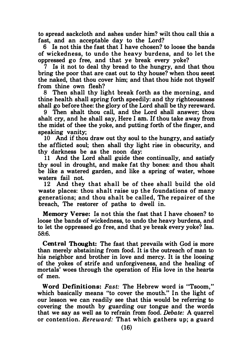to spread sackcloth and ashes under him? wilt thou call this a fast, and an acceptable day to the Lord?

6 Is not this the fast that I have chosen? to loose the bands of wickedness, to undo the heavy burdens, and to let the oppressed go free, and that ye break every yoke?

7 Is it not to deal thy bread to the hungry, and that thou bring the poor that are cast out to thy house? when thou seest the naked, that thou cover him; and that thou hide not thyself from thine own flesh?

8 Then shall thy light break forth as the morning, and thine health shall spring forth speedily: and thy righteousness shall go before thee: the glory of the Lord shall be thy rereward.

9 Then shalt thou call, and the Lord shall answer; thou shalt cry, and he shall say, Here I am. If thou take away from the midst of thee the yoke, and putting forth of the finger, and speaking vanity;

10 And if thou draw out thy soul to the hungry, and satisfy the afflicted soul; then shall thy light rise in obscurity, and thy darkness be as the noon day:

11 And the Lord shall guide thee continually, and satisfy thy soul in drought, and make fat thy bones: and thou shalt be like a watered garden, and like a spring of water, whose waters fail not.

12 And they that shall be of thee shall build the old waste places: thou shalt raise up the foundations of many generations; and thou shalt be called, The repairer of the breach, The restorer of paths to dwell in.

Memory Verse: Is not this the fast that I have chosen? to loose the bands of wickedness, to undo the heavy burdens, and to let the oppressed go free, and that ye break every yoke? lsa. 58:6.

Central Thought: The fast that prevails with God is more than merely abstaining from food. It is the outreach of man to his neighbor and brother in love and mercy. It is the loosing of the yokes of strife and unforgiveness, and the healing of mortals' woes through the operation of His love in the hearts of men.

Word Definitions: Fast: The Hebrew word is "Tsoom." which basically means "to cover the mouth." In the light of our lesson we can readily see that this would be referring to covering the mouth by guarding our tongue and the words that we say as well as to refrain from food. Debate: A quarrel or contention. Rereward: That which gathers up; a guard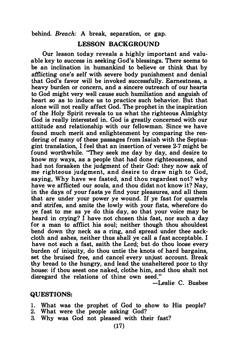behind. Breach: A break, separation, or gap.

#### LESSON BACKGROUND

Our lesson today reveals a highly important and valuable key to success in seeking God's blessings. There seems to be an inclination in humankind to believe or think that by afflicting one's self with severe body punishment and denial that God's favor will be invoked successfully. Earnestness, a heavy burden or concern, and a sincere outreach of our hearts to God might very well cause such humiliation and anguish of heart so as to induce us to practice such behavior. But that alone will not really affect God. The prophet in the inspiration of the Holy Spirit reveals to us what the righteous Almighty God is really interested in. God is greatly concerned with our attitude and relationship with our fellowman. Since we have found much merit and enlightenment by comparing the rendering of many of these passages from Isaiah with the Septuagint translation, I feel that an insertion of verses 2-7 might be found worthwhile. "They seek me day by day, and desire to know my ways, as a people that had done righteousness, and had not forsaken the judgment of their God: they now ask of me righteous judgment, and desire to draw nigh to God, saying, Why have we fasted, and thou regardest not? why have we afflicted our souls, and thou didst not know it? Nay, in the days of your fasts ye find your pleasures, and all them that are under your power ye wound. If ye fast for quarrels and strifes, and smite the lowly with your fists, wherefore do ye fast to me as ye do this day, so that your voice may be heard in crying? I have not chosen this fast, nor such a day for a man to afflict his soul; neither though thou shouldest bend down thy neck as a ring, and spread under thee sackcloth and ashes, neither thus shall ye call a fast acceptable. I have not such a fast, saith the Lord; but do thou loose every burden of iniquity, do thou untie the knots of hard bargains, set the bruised free, and cancel every unjust account. Break thy bread to the hungry, and lead the unsheltered poor to thy house: if thou seest one naked, clothe him, and thou shalt not disregard the relations of thine own seed."

 $-$ Leslie C. Busbee

#### QUESTIONS:

- 1. What was the prophet of God to show to His people?
- 2. What were the people asking God?
- 3. Why was God not pleased with their fast?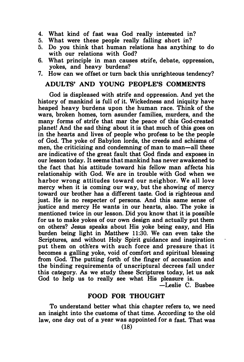- 4. What kind of fast was God really interested in?
- What were these people really falling short in?
- 5. Do you think that human relations has anything to do with our relations with God?
- 6. What principle in man causes strife, debate, oppression, yokes, and heavy burdens?
- 7. How can we offset or tum back this unrighteous tendency?

#### ADULTS' AND YOUNG PEOPLE'S COMMENTS

God is displeased with strife and oppression. And yet the history of mankind is full of it. Wickedness and iniquity have heaped heavy burdens upon the human race. Think of the wars, broken homes, tom asunder families, murders, and the many forms of strife that mar the peace of this God-created planet! And the sad thing about it is that much of this goes on in the hearts and lives of people who profess to be the people of God. The yoke of Babylon lords, the creeds and schisms of men, the criticizing and condemning of man to man-all these are indicative of the great fault that God finds and exposes in our lesson today. It seems that mankind has never awakened to the fact that his attitude toward his fellow man affects his relationship with God. We are in trouble with God when we harbor wrong attitudes toward our neighbor. We all love mercy when it is coming our way, but the showing of mercy toward our brother has a different taste. God is righteous and just. He is no respecter of persons. And this same sense of justice and mercy He wants in our hearts, also. The yoke is mentioned twice in our lesson. Did you know that it is possible for us to make yokes of our own design and actually put them on others? Jesus speaks about His yoke being easy, and His burden being light in Matthew 1 1:30. We can even take the Scriptures, and without Holy Spirit guidance and inspiration put them on others with such force and pressure that it becomes a galling yoke, void of comfort and spiritual blessing from God. The putting forth of the finger of accusation and the binding requirements of unscriptural decrees fall under this category. As we study these Scriptures today, let us ask God to help us to really see what His pleasure is.

-Leslie C. Busbee

#### FOOD FOR THOUGHT

To understand better what this chapter refers to, we need an insight into the customs of that time. According to the old law, one day out of a year was appointed for a fast. That was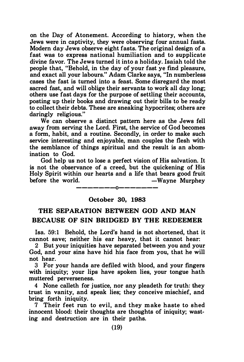on the Day of Atonement. According to history, when the Jews were in captivity, they were observing four annual fasts. Modern day Jews observe eight fasts. The original design of a fast was to express national humiliation and to supplicate divine favor. The Jews turned it into a holiday. Isaiah told the people that, "Behold, in the day of your fast ye fmd pleasure, and exact all your labours." Adam Clarke says, "In numberless cases the fast is turned into a feast. Some disregard the most sacred fast, and will oblige their servants to work all day long; others use fast days for the purpose of settling their accounts, posting up their books and drawing out their bills to be ready to collect their debts. These are sneaking hypocrites; others are daringly religious."

We can observe a distinct pattern here as the Jews fell away from serving the Lord. First, the service of God becomes a form, habit, and a routine. Secondly, in order to make such service interesting and enjoyable, man couples the flesh with the semblance of things spiritual and the result is an abomination to God.

God help us not to lose a perfect vision of His salvation. It is not the observance of a creed, but the quickening of His Holy Spirit within our hearts and a life that bears good fruit before the world.  $-Wavne$  Murphey

## -------0------- October 30, 1983

### THE SEPARATION BETWEEN GOD AND MAN BECAUSE OF SIN BRIDGED BY THE REDEEMER

Isa. 59:1 Behold, the Lord's hand is not shortened, that it cannot save; neither his ear heavy, that it cannot hear:

2 But your iniquities have separated between you and your God, and your sins have hid his face from you, that he will not hear.

3 For your hands are defiled with blood, and your fingers with iniquity; your lips have spoken lies, your tongue hath muttered perverseness.

4 None calleth for justice, nor any pleadeth for truth: they trust in vanity, and speak lies; they conceive mischief, and bring forth iniquity.

7 Their feet run to evil, and they m ake haste to shed innocent blood: their thoughts are thoughts of iniquity; wasting and destruction are in their paths.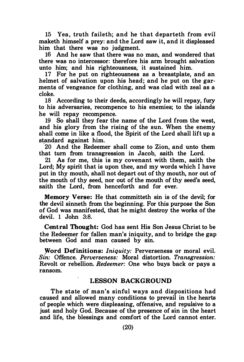15 Yea, truth faileth; and he that departeth from evil maketh himself a prey: and the Lord saw it, and it displeased him that there was no judgment.

16 And he saw that there was no man, and wondered that there was no intercessor: therefore his arm brought salvation unto him; and his righteousness, it sustained him.

17 For he put on righteousness as a breastplate, and an helmet of salvation upon his head; and he put on the garments of vengeance for clothing, and was clad with zeal as a cloke.

18 According to their deeds, accordingly he will repay, fury to his adversaries, recompence to his enemies; to the islands he will repay recompence.

19 So shall they fear the name of the Lord from the west, and his glory from the rising of the sun. When the enemy shall come in like a flood, the Spirit of the Lord shall lift up a standard against him.

·20 And the Redeemer shall come to Zion, and unto them that turn from transgression in Jacob, saith the Lord.

21 As for me, this is my covenant with them, saith the Lord: My spirit that is upon thee, and my words which I have put in thy mouth, shall not depart out of thy mouth, nor out of the mouth of thy seed, nor out of the mouth of thy seed's seed, saith the Lord, from henceforth and for ever.

Memory Verse: He that committeth sin is of the devil: for the devil sinneth from the beginning. For this purpose the Son of God was manifested, that he might destroy the works of the devil. 1 John 3:8.

Central Thought: God has sent His Son Jesus Christ to be the Redeemer for fallen man's iniquity, and to bridge the gap between God and man caused by sin.

Word Definitions: *Iniquity*: Perverseness or moral evil. Sin: Offence. Perverseness: Moral distortion. Transgression: Revolt or rebellion. Redeemer: One who buys back or pays a ransom.

#### LESSON BACKGROUND

The state of man's sinful ways and dispositions had caused and allowed many conditions to prevail in the hearts of people which were displeasing, offensive, and repulsive to a just and holy God. Because of the presence of sin in the heart and life, the blessings and comfort of the Lord cannot enter.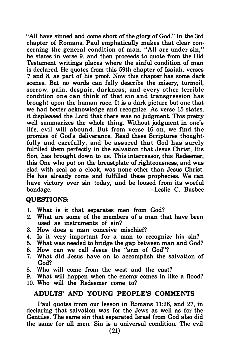"All have sinned and come short of the glory of God." In the 3rd chapter of Romans, Paul emphatically makes that clear concerning the general condition of man. "All are under sin," he states in verse 9, and then proceeds to quote from the Old Testament writings places where the sinful condition of man is declared. He quotes from this 59th chapter of Isaiah, verses 7 and 8, as part of his proof. Now this chapter has some dark scenes. But no words can fully describe the misery, turmoil, sorrow, pain, despair, darkness, and every other terrible condition one can think of that sin and transgression has brought upon the human race. It is a dark picture but one that we had better acknowledge and recognize. As verse 15 states, it displeased the Lord that there was no judgment. This pretty well summarizes the whole thing. Without judgment in one's life, evil will abound. But from verse 16 on, we find the promise of God's deliverance. Read these Scriptures thoughtfully and carefully, and be assured that God has surely fulfilled them perfectly in the salvation that Jesus Christ, His Son, has brought down to us. This intercessor, this Redeemer, this One who put on the breastplate of righteousness, and was clad with zeal as a cloak, was none other than Jesus Christ. He has already come and fulfilled these prophecies. We can have victory over sin today, and be loosed from its woeful<br>bondage. - Leslie C. Busbee -Leslie C. Busbee

#### QUESTIONS:

- 1. What is it that separates men from God?
- 2. What are some of the members of a man that have been used as instruments of sin?
- 3. How does a man conceive mischief?
- 4. Is it very important for a man to recognize his sin?
- 5. What was needed to bridge the gap between man and God?
- 6. How can we call Jesus the "arm of God"?
- 7. What did Jesus have on to accomplish the salvation of God?
- 8. Who will come from the west and the east?
- 9. What will happen when the enemy comes in like a flood? 10. Who will the Redeemer come to?

#### ADULTS' AND YOUNG PEOPLE'S COMMENTS

Paul quotes from our lesson in Romans 11:26, and 27, in declaring that salvation was for the Jews as well as for the Gentiles. The same sin that separated Israel from God also did the same for all men. Sin is a universal condition. The evil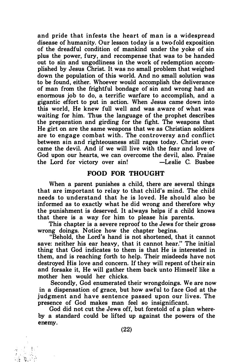and pride that infests the heart of man is a widespread disease of humanity. Our lesson today is a two-fold exposition of the dreadful condition of mankind under the yoke of sin plus the power, fury, and recompense that was to be handed out to sin and ungodliness in the work of redemption accomplished by Jesus Christ. It was no small problem that weighed down the population of this world. And no small solution was to be found, either. Whoever would accomplish the deliverance of man from the frightful bondage of sin and wrong had an enormous job to do, a terrific warfare to accomplish, and a gigantic effort to put in action. When Jesus came down into this world, He knew full well and was aware of what was waiting for him. Thus the language of the prophet describes the preparation and girding for the fight. The weapons that He girt on are the same weapons that we as Christian soldiers are to engage combat with. The controversy and conflict between sin and righteousness still rages today. Christ overcame the devil. And if we will live with the fear and love of God upon our hearts, we can overcome the devil, also. Praise the Lord for victory over sin! -Leslie C. Busbee

#### FOOD FOR THOUGHT

When a parent punishes a child, there are several things that are important to relay to that child's mind. The child needs to understand that he is loved. He should also be informed as to exactly what he did wrong and therefore why the punishment is deserved. It always helps if a child knows that there is a way for him to please his parents.

This chapter is a severe reproof to the Jews for their gross· wrong doings. Notice how the chapter begins.

"Behold, the Lord's hand is not shortened, that it cannot save: neither his ear heavy, that it cannot hear." The initial thing that God indicates to them is that He is interested in them, and is reaching forth to help. Their misdeeds have not destroyed His love and concern. If they will repent of their sin and forsake it, He will gather them back unto Himself like a mother hen would her chicks.

Secondly, God enumerated their wrongdoings. We are now in a dispensation of grace, but how awful to face God at the judgment and have sentence passed upon our lives. The presence of God makes man feel so insignificant.

God did not cut the Jews off, but foretold of a plan whereby a standard could be lifted up against the powers of the enemy.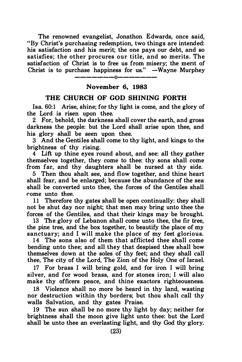The renowned evangelist, Jonathon Edwards, once said, "By Christ's purchasing redemption, two things are intended: his satisfaction and his merit; the one pays our debt, and so satisfies; the other procures our title, and so merits. The satisfaction of Christ is to free us from misery; the merit of Christ is to purchase happiness for us."  $-Wayne$  Murphey

### $---0---$ November 6, 1983

#### THE CHURCH OF GOD SHINING FORTH

Isa. 60:1 Arise, shine; for thy light is come, and the glory of the Lord is risen upon thee.

2 For, behold, the darkness shall cover the earth, and gross darkness the people: but the Lord shall arise upon thee, and his glory shall be seen upon thee.

3 And the Gentiles shall come to thy light, and kings to the brightness of thy rising.

4 Lift up thine eyes round about, and see: all they gather themselves together, they come to thee: thy sons shall come from far, and thy daughters shall be nursed at thy side.

5 Then thou shalt see, and flow together, and thine heart shall fear, and be enlarged; because the abundance of the sea shall be converted unto thee, the forces of the Gentiles shall rome unto thee.

11 Therefore thy gates shall be open continually: they shall not be shut day nor night; that men may bring unto thee the forces of the Gentiles, and that their kings may be brought.

13 The glory of Lebanon shall come unto thee, the fir tree, the pine tree, and the box together, to beautify the place of my sanctuary; and I will make the place of my feet glorious.

14 The sons also of them that afflicted thee shall come bending unto thee; and all they that despised thee shall bow themselves down at the soles of thy feet; and they shall call thee, The city of the Lord, The Zion of the Holy One of Israel.

17 For brass I will bring gold, and for iron I will bring silver, and for wood brass, and for stones iron; I will also make thy officers peace, and thine exactors righteousness.

18 Violence shall no more be heard in thy land, wasting nor destruction within thy borders; but thou shalt call thy walls Salvation, and thy gates Praise.

19 The sun shall be no more thy light by day; neither for brightness shall the moon give light unto thee: but the Lord shall be unto thee an everlasting light, and thy God thy glory.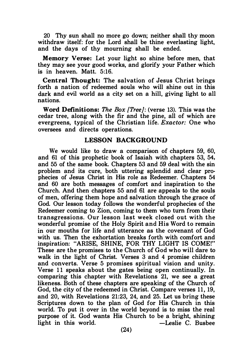20 Thy sun shall no more go down; neither shall thy moon withdraw itself: for the Lord shall be thine everlasting light, and the days of thy mourning shall be ended.

Memory Verse: Let your light so shine before men, that they may see your good works, and glorify your Father which is in heaven. Matt. 5:16.

Central Thought: The salvation of Jesus Christ brings forth a nation of redeemed souls who will shine out in this dark and evil world as a city set on a hill, giving light to all nations.

Word Definitions: The Box [Tree]: (verse 13). This was the cedar tree, along with the fir and the pine, all of which are evergreens, typical of the Christian life. Exactor: One who oversees and directs operations.

#### LESSON BACKGROUND

We would like to draw a comparison of chapters 59, 60, and 61 of this prophetic book of Isaiah with chapters 53, 54, and 55 of the same book. Chapters 53 and 59 deal with the sin problem and its cure, both uttering splendid and clear prophecies of Jesus Christ in His role as Redeemer. Chapters 54 and 60 are both messages of comfort and inspiration to the Church. And then chapters 55 and 61 are appeals to the souls of men, offering them hope and salvation through the grace of God. Our lesson today follows the wonderful prophecies of the Redeemer coming to Zion, coming to them who turn from their transgressions. Our lesson last week closed out with the wonderful promise of the Holy Spirit and His Word to remain in our mouths for life and utterance as the covenant of God with us. Then the exhortation breaks forth with comfort and inspiration: "ARISE, SHINE, FOR THY LIGHT IS COME!" These are the promises to the Church of God who will dare to walk in the light of Christ. Verses 3 and 4 promise children and converts. Verse 5 promises spiritual vision and unity. Verse 11 speaks about the gates being open continually. In comparing this chapter with Revelations 21, we see a great likeness. Both of these chapters are speaking of the Church of God, the city of the redeemed in Christ. Compare verses 11, 19, and 20, with Revelations 21:23, 24, and 25. Let us bring these Scriptures down to the plan of God for His Church in this world. To put it over in the world beyond is to miss the real purpose of it. God wants His Church to be a bright, shining light in this world.  $\qquad \qquad -$ Leslie C. Busbee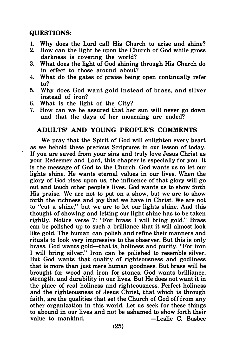#### QUESTIONS:

- 1. Why does the Lord call His Church to arise and shine?<br>2. How can the light be upon the Church of God while gross.
- 2. How can the light be upon the Church of God while gross darkness is covering the world?
- 3. What does the light of God shining through His Church do in effect to those around about?
- 4. What do the gates of praise being open continually refer to?
- 5. Why does God want gold instead of brass, and silver instead of iron?
- 6. What is the light of the City?
- 7. How can we be assured that her sun will never go down and that the days of her mourning are ended?

#### ADULTS' AND YOUNG PEOPLE'S COMMENTS

We pray that the Spirit of God will enlighten every heart as we behold these precious Scriptures in our lesson of today. If you are saved from your sins and truly love Jesus Christ as your Redeemer and Lord, this chapter is especially for you. It is the message of God to the Church. God wants us to let our lights shine. He wants eternal values in our lives. When the glory of God rises upon us, the influence of that glory will go out and touch other people's lives. God wants us to show forth His praise. We are not to put on a show, but we are to show forth the richness and joy that we have in Christ. We are not to "cut a shine," but we are to let our lights shine. And this thought of showing and letting our light shine has to be taken rightly. Notice verse 7: "For brass I will bring gold." Brass can be polished up to such a brilliance that it will almost look like gold. The human can polish and refine their manners and rituals to look very impressive to the observer. But this is only brass. God wants gold-that is, holiness and purity. "For iron I will bring silver." Iron can be polished to resemble silver. But God wants that quality of righteousness and godliness that is more than just mere human goodness. But brass will be brought for wood and iron for stones. God wants brilliance, strength, and durability in our lives. But He does not want it in the place of real holiness and righteousness. Perfect holiness and the righteousness of Jesus Christ, that which is through faith, are the qualities that set the Church of God off from any other organization in this world. Let us seek for these things to abound in our lives and not be ashamed to show forth their value to mankind. - Cassic C. Busbee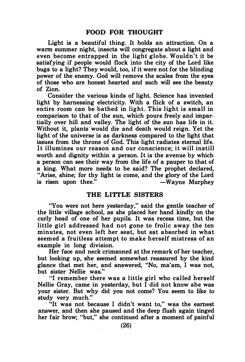Light is a beautiful thing. It holds an attraction. On a warm summer night, insects will congregate about a light and even become entrapped in the light globe. Wouldn't it be satisfying if people would flock into the city of the Lord like bugs to a light? They would, too, if it were not for the blinding power of the enemy. God will remove the scales from the eyes of those who are honest hearted and such will see the beauty of Zion.

Consider the various kinds of light. Science has invented light by harnessing electricity. With a flick of a switch, an entire room can be bathed in light. This light is small in comparison to that of the sun, which pours freely and impartially over hill and valley. The light of the sun has life in it. Without it, plants would die and death would reign. Yet the light of the universe is as darkness compared to the light that issues from the throne of God. This light radiates eternal life. It illumines our reason and our conscience; it will instill worth and dignity within a person. It is the avenue by which a person can see their way from the life of a pauper to that of a king. What more needs to be said? The prophet declared, "Arise, shine; for thy light is come, and the glory of the Lord is risen upon thee." -Wayne Murphey

#### THE LITTLE SISTERS

"You were not here yesterday," said the gentle teacher of the little village school, as she placed her hand kindly on the curly head of one of her pupils. It was recess time, but the little girl addressed had not gone to frolic away the ten minutes, not even left her seat, but sat absorbed in what seemed a fruitless attempt to make herself mistress of an example in long division.

Her face and neck crimsoned at the remark of her teacher, but looking up, she seemed somewhat reassured by the kind glance that met her, and answered, "No, ma'am, I was not, but sister Nellie was."

"I remember there was a little girl who called herself Nellie Gray, came in yesterday, but I did not know she was your sister. But why did you not come? You seem to like to study very much."

"It was not because I didn't want to," was the earnest answer, and then she paused and the deep flush again tinged her fair brow; "but," she continued after a moment of painful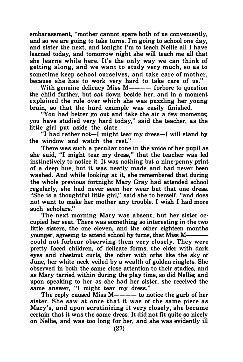embarassment, "mother cannot spare both of us conveniently, and so we are going to take turns. I'm going to school one day, and sister the next, and tonight I'm to teach Nellie all I have learned today, and tomorrow night she will teach me all that she learns while here. It's the only way we can think of getting along, and we want to study very much, so as to sometime keep school ourselves, and take care of mother, because she has to work very hard to take care of us."

With genuine delicacy Miss  $M \rightarrow - -$  forbore to question the child further, but sat down beside her, and in a moment explained the rule over which she was puzzling her young brain, so that the hard example was easily finished.

"You had better go out and take the air a few moments; you have studied very hard today," said the teacher, as the little girl put aside the slate.

"I had rather not-1 might tear my dress-1 will stand by the window and watch the rest."

There was such a peculiar tone in the voice of her pupil as she said, "I might tear my dress," that the teacher was led instinctively to notice it. It was nothing but a nine-penny print of a deep hue, but it was neatly made and had never been washed. And while looking at it, she remembered that during the whole previous fortnight Mary Gray had attended school regularly, she had never seen her wear but that one dress. "She is a thoughtful little girl," said she to herself, "and does not want to make her mother any trouble. I wish I had more such scholars."

The next morning Mary was absent, but her sister occupied her seat. There was something so interesting in the two little sisters, the one eleven, and the other eighteen months younger, agreeing to attend school by turns, that Miss M—— could not forbear obser ving them very closely. They were pretty faced children, of delicate forms, the elder with dark eyes and chestnut curls, the other with orbs like the sky of June, her white neck veiled by a wealth of golden ringlets. She observed in both the same close attention to their studies, and as Mary tarried within during the play time, so did Nellie; and upon speaking to her as she had her sister, she received the same answer, "I might tear my dress."

The reply caused Miss  $M$ ———— to notice the garb of her sister. She saw at once that it was of the same piece as Mary's, and upon scrutinizing it very closely, she became certain that it was the same dress. It did not fit quite so nicely on Nellie, and was too long for her, and she was evidently ill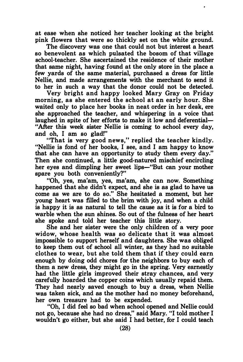at ease when she noticed her teacher looking at the bright pink flowers that were so thickly set on the white ground.

The discovery was one that could not but interest a heart so benevolent as which pulsated the bosom of that village school-teacher. She ascertained the residence of their mother that same night, having found at the only store in the place a few yards of the same material, purchased a dress for little Nellie, and made arrangements with the merchant to send it to her in such a way that the donor could not be detected.

Very bright and happy looked Mary Gray on Friday morning, as she entered the school at an early hour. She waited only to place her books in neat order in her desk, ere she approached the teacher, and whispering in a voice that laughed in spite of her efforts to make it low and deferential— "After this week sister Nellie is coming to school every day, and oh, I am so glad!"

"That is very good news," replied the teacher kindly. "Nellie is fond of her books, I see, and I am happy to know that she can have an opportunity to study them every day." Then she continued, a little good-natured mischief encircling her eyes and dimpling her sweet lips—"But can your mother spare you both conveniently?"

"Oh, yes, ma'am, yes, ma'am, she can now. Something happened that she didn't expect, and she is as glad to have us come as we are to do so." She hesitated a moment, but her young heart was filled to the brim with joy, and when a child is happy it is as natural to tell the cause as it is for a bird to warble when the sun shines. So out of the fulness of her heart she spoke and told her teacher this little story.

She and her sister were the only children of a very poor widow, whose health was so delicate that it was almost impossible to support herself and daughters. She was obliged to keep them out of school all winter, as they had no suitable clothes to wear, but she told them that if they could earn enough by doing odd chores for the neighbors to buy each of them a new dress, they might go in the spring. Very earnestly had the little girls improved their stray chances, and very carefully hoarded the copper coins which usually repaid them. They had nearly saved enough to buy a dress, when Nellie was taken sick, and as the mother had no money beforehand, her own treasure had to be expended.

"Oh, I did feel so bad when school opened and Nellie could not go, because she had no dress," said Mary. "I told mother I wouldn't go either, but she said I had better, for I could teach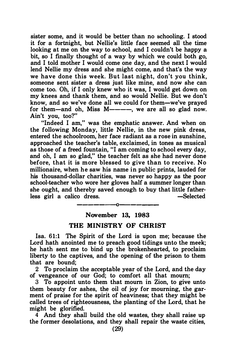sister some, and it would be better than no schooling. I stood it for a fortnight, but Nellie's little face seemed all the time looking at me on the way to school, and I couldn't be happy a bit, so I finally thought of a way by which we could both go, and I told mother I would come one day, and the next I would lend Nellie my dress and she might come, and that's the way we have done this week. But last night, don't you think, someone sent sister a dress just like mine, and now she can come too. Oh, if I only knew who it was, I would get down on my knees and thank them, and so would Nellie. But we don't know, and so we've done all we could for them-we've prayed for them-and oh. Miss  $M$ ----, we are all so glad now. Ain't you, too?"

"Indeed I am," was the emphatic answer. And when on the following Monday, little Nellie, in the new pink dress, entered the schoolroom, her face radiant as a rose in sunshine, approached the teacher's table, exclaimed, in tones as musical as those of a freed fountain, "I am coming to school every day, and oh, I am so glad," the teacher felt as she had never done before, that it is more blessed to give than to receive. No millionaire, when he saw his name in public prints, lauded for his thousand-dollar charities, was never so happy as the poor school-teacher who wore her gloves half a summer longer than she ought, and thereby saved enough to buy that little fatherless girl a calico dress. - Selected

#### November 13, 1983

-------o---

#### THE MINISTRY OF CHRIST

Isa. 61:1 The Spirit of the Lord is upon me; because the Lord hath anointed me to preach good tidings unto the meek; he hath sent me to bind up the brokenhearted, to proclaim liberty to the captives, and the opening of the prison to them that are bound;

2 To proclaim the acceptable year of the Lord, and the day of vengeance of our God; to comfort all that mourn;

3 To appoint unto them that mourn in Zion, to give unto them beauty for ashes, the oil of joy for mourning, the garment of praise for the spirit of heaviness; that they might be called trees of righteousness, the planting of the Lord, that he might be glorified.

4 And they shall build the old wastes, they shall raise up the former desolations, and they shall repair the waste cities,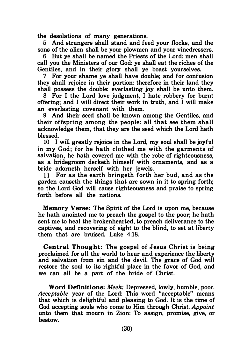the desolations of many generations.

 $\ddot{\phantom{a}}$ 

5 And strangers shall stand and feed your flocks, and the sons of the alien shall be your plowmen and your vinedressers.

6 But ye shall be named the Priests of the Lord: men shall call you the Ministers of our God: ye shall eat the riches of the Gentiles, and in their glory shall ye boast yourselves.

7 For your shame ye shall have double; and for confusion they shall rejoice in their portion: therefore in their land they shall possess the double: everlasting joy shall be unto them.

8 For I the Lord love judgment, I hate robbery for burnt offering; and I will direct their work in truth, and I will make an everlasting covenant with them.

9 And their seed shall be known among the Gentiles, and their offspring among the people: all that see them shall acknowledge them, that they are the seed which the Lord hath blessed.

10 I will greatly rejoice in the Lord, my soul shall be joyful in my God; for he hath clothed me with the garments of salvation, he hath covered me with the robe of righteousness, as a bridegroom decketh himself with ornaments, and as a bride adorneth herself with her jewels.

11 For as the earth bringeth forth her bud, and as the garden causeth the things that are sown in it to spring forth; so the Lord God will cause righteousness and praise to spring forth before all the nations.

Memory Verse: The Spirit of the Lord is upon me, because he hath anointed me to preach the gospel to the poor; he hath sent me to heal the brokenhearted, to preach deliverance to the captives, and recovering of sight to the blind, to set at liberty them that are bruised. Luke 4:18.

Central Thought: The gospel of Jesus Christ is being proclaimed for all the world to hear and experience the liberty and salvation from sin and the devil. The grace of God will restore the soul to its rightful place in the favor of God, and we can all be a part of the bride of Christ.

Word Definitions: Meek: Depressed, lowly, humble, poor. Acceptable year of the Lord: This word "acceptable" means that which is delightful and pleasing to God. It is the time of God accepting souls who come to Him through Christ. Appoint unto them that mourn in Zion: To assign, promise, give, or bestow.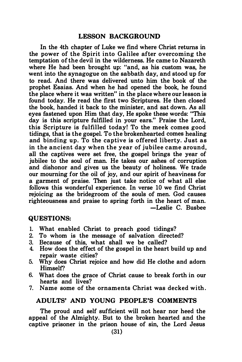#### LESSON BACKGROUND

In the 4th chapter of Luke we find where Christ returns in the power of the Spirit into Galilee after overcoming the temptation of the devil in the wilderness. He came to Nazareth where He had been brought up: "and, as his custom was, he went into the synagogue on the sabbath day, and stood up for to read. And there was delivered unto him the book of the prophet Esaias. And when he had opened the book, he found the place where it was written" in the place where our lesson is found today. He read the first two Scriptures. He then closed the book, handed it back to the minister, and sat down. As all eyes fastened upon Him that day, He spoke these words: "This day is this scripture fulfilled in your ears." Praise the Lord, this Scripture is fulfilled today! To the meek comes good tidings, that is the gospel. To the brokenhearted comes healing and binding up. To the captive is offered liberty. Just as in the ancient day when the year of jubilee came around, all the captives were set free, the gospel brings the year of jubilee to the soul of man. He takes our ashes of corruption and dishonor and gives us the beauty of holiness. We trade our mourning for the oil of joy, and our spirit of heaviness for a garment of praise. Then just take notice of what all else follows this wonderful experience. In verse 10 we find Christ rejoicing as the bridegroom of the souls of men. God causes righteousness and praise to spring forth in the heart of man. -Leslie C. Busbee

#### QUESTIONS:

- 1. What enabled Christ to preach good tidings?
- 2. To whom is the message of salvation directed?
- 3. Because of this, what shall we be called?
- 4. How does the effect of the gospel in the heart build up and repair waste cities?
- 5. Why does Christ rejoice and how did He clothe and adorn Himself?
- 6. What does the grace of Christ cause to break forth in our hearts and lives?
- 7. Name some of the ornaments Christ was decked with .

#### ADULTS' AND YOUNG PEOPLE'S COMMENTS

The proud and self sufficient will not hear nor heed the appeal of the Almighty. But to the broken hearted and the captive prisoner in the prison house of sin, the Lord Jesus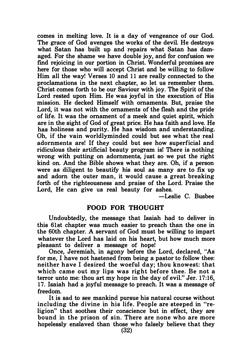comes in melting love. It is a day of vengeance of our God. The grace of God avenges the works of the devil. He destroys what Satan has built up and repairs what Satan has damaged. For the shame we have double joy, and for confusion we find rejoicing in our portion in Christ. Wonderful promises are here for those who will accept Christ and be willing to follow Him all the way! Verses 10 and 11 are really connected to the proclamations in the next chapter, so let us remember them. Christ comes forth to be our Saviour with joy. The Spirit of the Lord rested upon Him. He was joyful in the execution of His mission. He decked Himself with ornaments. But, praise the Lord, it was not with the ornaments of the flesh and the pride of life. It was the ornament of a meek and quiet spirit, which are in the sight of God of great price. He has faith and love. He has holiness and purity. He has wisdom and understanding. Oh, if the vain worldlyminded could but see what the real adornments are! If they could but see how superficial and ridiculous their artificial beauty program is! There is nothing wrong with putting on adornments, just so we put the right kind on. And the Bible shows what they are. Oh, if a person were as diligent to beautify his soul as many are to fix up and adorn the outer man, it would cause a great breaking forth of the righteousness and praise of the Lord. Praise the Lord. He can give us real beauty for ashes.

-Leslie C. Busbee

#### FOOD FOR THOUGHT

Undoubtedly, the message that Isaiah had to deliver in this 61st chapter was much easier to preach than the one in the 60th chapter. A servant of God must be willing to impart whatever the Lord has laid on his heart, but how much more pleasant to deliver a message of hope!

Once, Jeremiah, in agony before the Lord, declared, "As for me, I have not hastened from being a pastor to follow thee: neither have I desired the woeful day; thou knowest: that which came out my lips was right before thee. Be not a terror unto me: thou art my hope in the day of evil." Jer. 17:16, 17. Isaiah had a joyful message to preach. It was a message of freedom.

It is sad to see mankind pursue his natural course without including the divine in his life. People are steeped in "religion" that soothes their conscience but in effect, they are bound in the prison of sin. There are none who are more hopelessly enslaved than those who falsely believe that they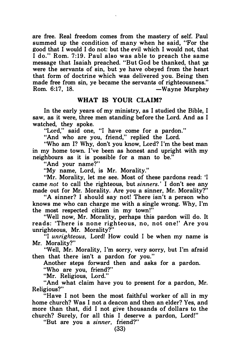are free. Real freedom comes from the mastery of self. Paul summed up the condition of many when he said, "For the good that I would I do not: but the evil which I would not, that I do:' Rom. 7:19. Paul also was able to preach the same message that Isaiah preached. "But God be thanked, that ye were the servants of sin, but ye have obeyed from the heart that form of doctrine which was delivered you. Being then made free from sin, ye became the servants of righteousness." Rom. 6:17, 18. - Wayne Murphey

#### WHAT IS YOUR CLAIM?

In the early years of my ministry, as I studied the Bible, I saw, as it were, three men standing before the Lord. And as I watched, they spoke.

"Lord," said one, "I have come for a pardon."

"And who are you, friend," replied the Lord.

"Who am I? Why, don't you know, Lord? I'm the best man in my home town. I've been as honest and upright with my neighbours as it is possible for a man to be."

"And your name?"

"My name, Lord, is Mr. Morality."

"Mr. Morality, let me see. Most of these pardons read: 'I came not to call the righteous, but sinners. ' I don't see any made out for Mr. Morality. Are you a sinner, Mr. Morality?"

"A sinner? I should say not! There isn't a person who knows me who can charge me with a single wrong. Why, I'm the most respected citizen in my town!"

"Well now, Mr. Morality, perhaps this pardon will do. It reads: 'There is none righteous, no, not one!' Are you unrighteous, Mr. Morality?"

"I unrighteous, Lord! How could I be when my name is Mr. Morality?"

"Well, Mr. Morality, I'm sorry, very sorry, but I'm afraid then that there isn't a pardon for you."

Another steps forward then and asks for a pardon.

"Who are you, friend?"

"Mr. Religious, Lord."

"And what claim have you to present for a pardon, Mr. Religious?"

"Have I not been the most faithful worker of all in my home church? Was I not a deacon and then an elder? Yes, and more than that, did I not give thousands of dollars to the church? Surely, for all this I deserve a pardon, Lord!"

"But are you a sinner, friend?"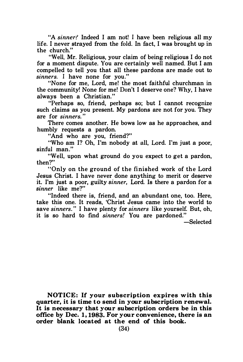"A sinner? Indeed I am not! I have been religious all my life. I never strayed from the fold. In fact, I was brought up in the church."

"Well, Mr. Religious, your claim of being religious I do not for a moment dispute. You are certainly well named. But I am compelled to tell you that all these pardons are made out to sinners. I have none for you."

"None for me, Lord, me! the most faithful churchman in the community! None for me! Don't I deserve one? Why, I have always been a Christian."

"Perhaps so, friend, perhaps so; but I cannot recognize such claims as you present. My pardons are not for you. They are for sinners. "

There comes another. He bows low as he approaches, and humbly requests a pardon.

"And who are you, friend?"

"Who am I? Oh, I'm nobody at all, Lord. I'm just a poor. sinful man."

"Well, upon what ground do you expect to get a pardon, then?"

"Only on the ground of the finished work of the Lord Jesus Christ. I have never done anything to merit or deserve it. I'm just a poor, guilty sinner, Lord. Is there a pardon for a sinner like me?"

"Indeed there is, friend, and an abundant one, too. Here, take this one. It reads, 'Christ Jesus came into the world to save sinners." I have plenty for sinners like yourself. But, oh, it is so hard to find *sinners!* You are pardoned."

-Selected

NOTICE: If your subscription expires with this quarter, it is time to send in your subscription renewal. It is necessary that your subscription orders be in this office by Dec. 1, 1983. For your convenience, there is an order blank located at the end of this book.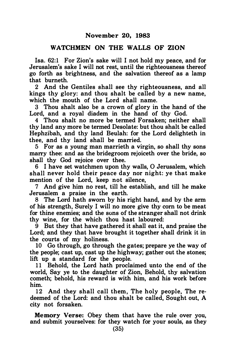#### WATCHMEN ON THE WALLS OF ZION

Isa. 62:1 For Zion's sake will I not hold my peace, and for Jerusalem's sake I will not rest, until the righteousness thereof go forth as brightness, and the salvation thereof as a lamp that burneth.

2 And the Gentiles shall see thy righteousness, and all kings thy glory: and thou shalt be called by a new name, which the mouth of the Lord shall name.

3 Thou shalt also be a crown of glory in the hand of the Lord, and a royal diadem in the hand of thy God.

4 Thou shalt no more be termed Forsaken; neither shall thy land any more be termed Desolate: but thou shalt be called Hephzibah, and thy land Beulah: for the Lord delighteth in thee, and thy land shall be married.

5 For as a young man marrieth a virgin, so shall thy sons marry thee: and as the bridegroom rejoiceth over the bride, so shall thy God rejoice over thee.

6 I have set watchmen upon thy walls, 0 Jerusalem, which shall never hold their peace day nor night: ye that make mention of the Lord, keep not silence,

7 And give him no rest, till he establish, and till he make Jerusalem a praise in the earth.

8 The Lord hath sworn by his right hand, and by the arm of his strength, Surely I will no more give thy corn to be meat for thine enemies; and the sons of the stranger shall not drink thy wine, for the which thou hast laboured:

9 But they that have gathered it shall eat it, and praise the Lord; and they that have brought it together shall drink it in the courts of my holiness.

10 Go through, go through the gates; prepare ye the way of the people; cast up, cast up the highway; gather out the stones; lift up a standard for the people.

11 Behold, the Lord hath proclaimed unto the end of the world, Say ye to the daughter of Zion, Behold, thy salvation cometh; behold, his reward is with him, and his work before him.

12 And they shall call them, The holy people, The redeemed of the Lord: and thou shalt be called, Sought out, A city not forsaken.

Memory Verse: Obey them that have the rule over you, and submit yourselves: for they watch for your souls; as they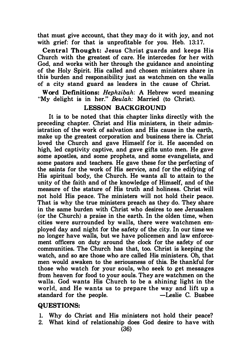that must give account, that they may do it with joy, and not with grief: for that is unprofitable for you. Heb. 13:17.

Central Thought: Jesus Christ guards and keeps His Church with the greatest of care. He intercedes for her with God, and works with her through the guidance and anointing of the Holy Spirit. His called and chosen ministers share in this burden and responsibility just as watchmen on the walls of a city stand guard as leaders in the cause of Christ.

Word Definitions: Hephzibah: A Hebrew word meaning "My delight is in her." Beulah: Married (to Christ).

#### LESSON BACKGROUND

It is to be noted that this chapter links directly with the preceding chapter. Christ and His ministers, in their administration of the work of salvation and His cause in the earth, make up the greatest corporation and business there is. Christ loved the Church and gave Himself for it. He ascended on high, led captivity captive, and gave gifts unto men. He gave some apostles, and some prophets, and some evangelists, and some pastors and teachers. He gave these for the perfecting of the saints for the work of His service, and for the edifying of His spiritual body, the Church. He wants all to attain to the unity of the faith and of the knowledge of Himself, and of the measure of the stature of His truth and holiness. Christ will not hold His peace. The ministers will not hold their peace. That is why the true ministers preach as they do. They share in the same burden with Christ who desires to see Jerusalem (or the Church) a praise in the earth. In the olden time, when cities were surrounded by walls, there were watchmen employed day and night for the safety of the city. In our time we no longer have walls, but we have policemen and law enforcement officers on duty around the clock for the safety of our communities. The Church has that, too. Christ is keeping the watch, and so are those who are called His ministers. Oh, that men would awaken to the seriousness of this. Be thankful for those who watch for your souls, who seek to get messages from heaven for food to your souls. They are watchmen on the walls. God wants His Church to be a shining light in the world, and He wants us to prepare the way and lift up a standard for the people. - -Leslie C. Busbee

#### QUESTIONS:

- I. Why do Christ and His ministers not hold their peace?
- 2. What kind of relationship does God desire to have with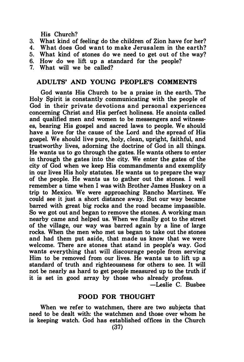#### His Church?

- 3. What kind of feeling do the children of Zion have for her?
- 4. What does God want to make Jerusalem in the earth?<br>5. What kind of stones do we need to get out of the way?
- What kind of stones do we need to get out of the way?
- 6. How do we lift up a standard for the people?
- 7. What will we be called?

#### ADULTS' AND YOUNG PEOPLE'S COMMENTS

God wants His Church to be a praise in the earth. The Holy Spirit is constantly communicating with the people of God in their private devotions and personal experiences concerning Christ and His perfect holiness. He anoints called and qualified men and women to be messengers and witnesses, bearing His gospel and sacred laws to people. We should have a love for the cause of the Lord and the spread of His gospel. We should live pure, holy, clean, upright, faithful, and trustworthy lives, adorning the doctrine of God in all things. He wants us to go through the gates. He wants others to enter in through the gates into the city. We enter the gates of the city of God when we keep His commandments and exemplify in our lives His holy statutes. He wants us to prepare the way of the people. He wants us to gather out the stones. I well remember a time when I was with Brother James Huskey on a trip to Mexico. We were approaching Rancho Martinez. We could see it just a short distance away. But our way became barred with great big rocks and the road became impassible. So we got out and began to remove the stones. A working man nearby came and helped us. When we finally got to the street of the village, our way was barred again by a line of large rocks. When the men who met us began to take out the stones and had them put aside, that made us know that we were welcome. There are stones that stand in people's way. God wants everything that will discourage people from serving Him to be removed from our lives. He wants us to lift up a standard of truth and righteousness for others to see. It will not be nearly as hard to get people measured up to the truth if it is set in good array by those who already profess.

-Leslie C. Busbee

#### FOOD FOR THOUGHT

When we refer to watchmen, there are two subjects that need to be dealt with: the watchmen and those over whom he is keeping watch. God has established offices in the Church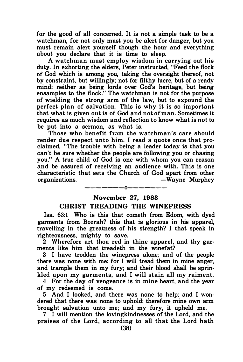for the good of all concerned. It is not a simple task to be a watchman, for not only must you be alert for danger, but you must remain alert yourself though the hour and everything about you declare that it is time to sleep.

A watchman must employ wisdom in carrying out his duty. In exhorting the elders, Peter instructed, "Feed the flock of God which is among you, taking the oversight thereof, not by constraint, but willingly; not for filthy lucre, but of a ready mind: neither as being lords over God's heritage, but being ensamples to the flock." The watchman is not for the purpose of wielding the strong arm of the law, but to expound the perfect plan of salvation. This is why it is so important that what is given out is of God and not of man. Sometimes it requires as much wisdom and reflection to know what is not to be put into a sermon, as what is.

Those who benefit from the watchman's care should render due respect unto him. I read a quote once that proclaimed, "The trouble with being a leader today is that you can't be sure whether the people are following you or chasing you.'' A true child of God is one with whom you can reason and be assured of receiving an audience with. This is one characteristic that sets the Church of God apart from other organizations. The settlement of the Murphey

### -------0------- November 27, 1983

#### CHRIST TREADING THE WINEPRESS

Isa. 63:1 Who is this that cometh from Edom, with dyed garments from Bozrah? this that is glorious in his apparel, travelling in the greatness of his strength? I that speak in righteousness, mighty to save.

2 Wherefore art thou red in thine apparel, and thy garments like him that treadeth in the winefat?

3 I have trodden the winepress alone; and of the people there was none with me: for I will tread them in mine anger, and trample them in my fury; and their blood shall be sprinkled upon my garments, and I will stain all my raiment.

4 For the day of vengeance is in mine heart, and the year of my redeemed is come.

5 And I looked, and there was none to help; and I wondered that there was none to uphold: therefore mine own arm brought salvation unto me; and my fury, it upheld me.

7 I will mention the lovingkindnesses of the Lord, and the praises of the Lord, according to all that the Lord hath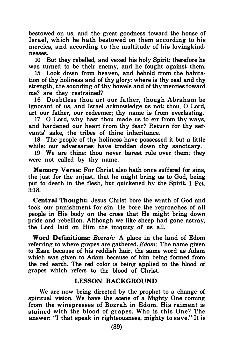bestowed on us, and the great goodness toward the house of Israel, which he hath bestowed on them according to his mercies, and according to the multitude of his lovingkindnesses.

10 But they rebelled, and vexed his holy Spirit: therefore he was turned to be their enemy, and he fought against them.

15 Look down from heaven, and behold from the habitation of thy holiness and of thy glory: where is thy zeal and thy strength, the sounding of thy bowels and of thy mercies toward me? are they restrained?

16 Doubtless thou art our father, though Abraham be ignorant of us, and Israel acknowledge us not: thou, 0 Lord, art our father, our redeemer; thy name is from everlasting.

17 0 Lord, why hast thou made us to err from thy ways, and hardened our heart from thy fear? Return for thy servants' sake, the tribes of thine inheritance.

18 The people of thy holiness have possessed it but a little while: our adversaries have trodden down thy sanctuary.

19 We are thine: thou never barest rule over them; they were not called by thy name.

Memory Verse: For Christ also hath once suffered for sins, the just for the unjust, that he might bring us to God, being put to death in the flesh, but quickened by the Spirit. 1 Pet. 3:18.

Central Thought: Jesus Christ bore the wrath of God and took our punishment for sin. He bore the reproaches of all people in His body on the cross that He might bring down pride and rebellion. Although we like sheep had gone astray, the Lord laid on Him the iniquity of us all.

Word Definitions: Bozrah: A place in the land of Edom referring to where grapes are gathered. Edom: The name given to Esau because of his reddish hair, the same word as Adam which was given to Adam because of him being formed from the red earth. The red color is being applied to the blood of grapes which refers to the blood of Christ.

#### LESSON BACKGROUND

We are now being directed by the prophet to a change of spiritual vision. We have the scene of a Mighty One coming from the winepresses of Bozrah in Edom. His raiment is stained with the blood of grapes. Who is this One? The answer: "I that speak in righteousness, mighty to save." It is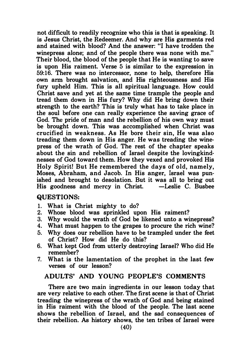not difficult to readily recognize who this is that is speaking. It is Jesus Christ, the Redeemer. And why are His garments red and stained with blood? And the answer: "I have trodden the winepress alone; and of the people there was none with me." Their blood, the blood of the people that He is wanting to save is upon His raiment. Verse 5 is similar to the expression in 59:16. There was no intercessor, none to help, therefore His own arm brought salvation, and His righteousness and His fury upheld Him. This is all spiritual language. How could Christ save and yet at the same time trample the people and tread them down in His fury? Why did He bring down their strength to the earth? This is truly what has to take place in the soul before one can really experience the saving grace of God. The pride of man and the rebellion of his own way must be brought down. This was accomplished when Christ was crucified in weakness. As He bore their sin, He was also treading them down in His anger. He was treading the winepress of the wrath of God. The rest of the chapter speaks about the sin and rebellion of Israel despite the lovingkind· nesses of God toward them. How they vexed and provoked His Holy Spirit! But He remembered the days of old, namely, Moses, Abraham, and Jacob. In His anger, Israel was punished and brought to desolation. But it was all to bring out His goodness and mercy in Christ.

#### QUESTIONS:

- 1. What is Christ mighty to do?<br>2. Whose blood was sprinkled up
- Whose blood was sprinkled upon His raiment?
- 3. Why would the wrath of God be likened unto a winepress?
- 4. What must happen to the grapes to procure the rich wine?
- 5. Why does our rebellion have to be trampled under the feet of Christ? How did He do this?
- 6. What kept God from utterly destroying Israel? Who did He remember?
- 7. What is the lamentation of the prophet in the last few verses of our lesson?

#### ADULTS' AND YOUNG PEOPLE'S COMMENTS

There are two main ingredients in our lesson today that are very relative to each other. The first scene is that of Christ treading the winepress of the wrath of God and being stained in His raiment with the blood of the people. The last scene shows the rebellion of Israel, and the sad consequences of their rebellion. As history shows, the ten tribes of Israel were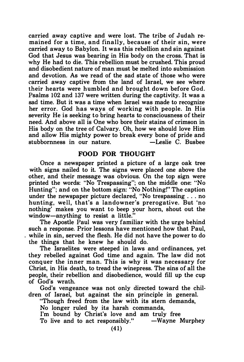carried away captive and were lost. The tribe of Judah remained for a time, and finally, because of their sin, were carried away to Babylon. It was this rebellion and sin against God that Jesus was bearing in His body on the cross. That is why He had to die. This rebellion must be crushed. This proud and disobedient nature of man must be melted into submission and devotion. As we read of the sad state of those who were carried away captive from the land of Israel, we see where their hearts were humbled and brought down before God. Psalms 102 and 137 were written during the captivity. It was a sad time. But it was a time when Israel was made to recognize her error. God has ways of working with people. In His severity He is seeking to bring hearts to consciousness of their need. And above all is One who bore their stains of crimson in His body on the tree of Calvary. Oh, how we should love Him and allow His mighty power to break every bone of pride and stubbornness in our nature. - -Leslie C. Busbee

#### FOOD FOR THOUGHT

Once a newspaper printed a picture of a large oak tree with signs nailed to it. The signs were placed one above the other, and their message was obvious. On the top sign were printed the words: "No Trespassing"; on the middle one: "No Hunting"; and on the bottom sign: "No Nothing!" The caption under the newspaper picture declared, "No trespassing ... no hunting, we ll, that's a landowner 's prerogative. But 'no nothing' makes you want to beep your horn, shout out the window-anything to resist a little."

The Apostle Paul was very familiar with the urge behind such a response. Prior lessons have mentioned how that Paul, while in sin, served the flesh. He did not have the power to do the things that he knew he should do.

The Israelites were steeped in laws and ordinances, yet they rebelled against God time and again. The law did not conquer the inner man. This is why it was necessary for Christ, in His death, to tread the winepress. The sins of all the people, their rebellion and disobedience, would fill up the cup of God's wrath.

God's vengeance was not only directed toward the children of Israel, but against the sin principle in general.

"Though freed from the law with its stem demands,

No longer ruled by its harsh commands,

I'm bound by Christ's love and am truly free To live and to act responsibly."  $-Wayne$  Murphey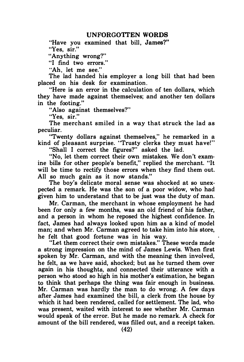#### UNFORGOTTEN WORDS

"Have you examined that bill, James?" "Yes, sir."

"Anything wrong?"

"I find two errors."

"Ah, let me see."

The lad handed his employer a long bill that had been placed on his desk for examination.

"Here is an error in the calculation of ten dollars, which they have made against themselves; and another ten dollars in the footing."

"Also against themselves?"

"Yes, sir."

The merchant smiled in a way that struck the lad as peculiar.

"Twenty dollars against themselves," he remarked in a kind of pleasant surprise. "Trusty clerks they must have!"

"Shall I correct the figures?" asked the lad.

"No, let them correct their own mistakes. We don't examine bills for other people's benefit," replied the merchant. "It will be time to rectify those errors when they find them out. All so much gain as it now stands."

The boy's delicate moral sense was shocked at so unexpected a remark. He was the son of a poor widow, who had given him to understand that to be just was the duty of man.

Mr. Carman, the merchant in whose employment he had been for only a few months, was an old friend of his father, and a person in whom he reposed the highest confidence. In fact, James had always looked upon him as a kind of model man; and when Mr. Carman agreed to take him into his store, he felt that good fortune was in his way.

"Let them correct their own mistakes." These words made a strong impression on the mind of James Lewis. When first spoken by Mr. Carman, and with the meaning then involved, he felt, as we have said, shocked; but as he turned them over again in his thoughts, and connected their utterance with a person who stood so high in his mother's estimation, he began to think that perhaps the thing was fair enough in business. Mr. Carman was hardly the man to do wrong. A few days after James had examined the bill, a clerk from the house by which it had been rendered, called for settlement. The lad, who was present. waited with interest to see whether Mr. Carman would speak of the error. But he made no remark. A check for amount of the bill rendered, was filled out, and a receipt taken.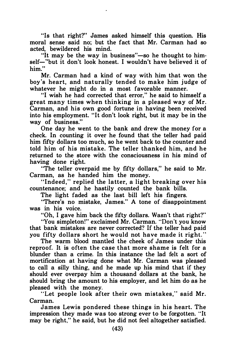"Is that right?" James asked himself this question. His moral sense said no; but the fact that Mr. Carman had so acted, bewildered his mind.

"It may be the way in business"—so he thought to himself-"but it don't look honest. I wouldn't have believed it of him."

Mr. Carman had a kind of way with him that won the boy's heart, and naturally tended to make him judge of whatever he might do in a most favorable manner.

"I wish he had corrected that error," he said to himself a great many times when thinking in a pleased way of Mr. Carman, and his own good fortune in having been received into his employment. "It don't look right, but it may be in the way of business."

One day he went to the bank and drew the money for a check. In counting it over he found that the teller had paid him fifty dollars too much, so he went back to the counter and told him of his mistake. The teller thanked him, and he returned to the store with the consciousness in his mind of having done right.

"The teller overpaid me by fifty dollars," he said to Mr. Carman, as he handed him the money.

"Indeed," replied the latter, a light breaking over his countenance; and he hastily counted the bank bills.

The light faded as the last bill left his fingers.

"There's no mistake, James." A tone of disappointment was in his voice.

"Oh, I gave him back the fifty dollars. Wasn't that right?"

"You simpleton!" exclaimed Mr. Carman. "Don't you know that bank mistakes are never corrected'? If the teller had paid you fifty dollars short he would not have made it right. "

The warm blood mantled the cheek of James under this reproof. It is often the case that more shame is felt for a blunder than a crime. In this instance the lad felt a sort of mortification at having done what Mr. Carman was pleased to call a silly thing, and he made up his mind that if they should ever overpay him a thousand dollars at the bank, he should bring the amount to his employer, and let him do as he pleased with the money.

"Let people look after their own mistakes," said Mr. Carman.

James Lewis pondered these things in his heart. The impression they made was too strong ever to be forgotten. "It may be right," he said, but he did not feel altogether satisfied.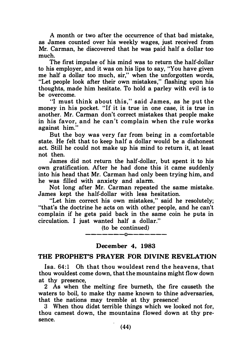A month or two after the occurrence of that bad mistake, as James counted over his weekly wages, just received from Mr. Carman, he discovered that he was paid half a dollar too much.

The first impulse of his mind was to return the half-dollar to his employer, and it was on his lips to say, "You have given me half a dollar too much, sir," when the unforgotten words, "Let people look after their own mistakes," flashing upon his thoughts, made him hesitate. To hold a parley with evil is to be overcome.

"I must think about this," said James, as he put the money in his pocket. "If it is true in one case, it is true in another. Mr. Carman don't correct mistakes that people make in his favor, and he can't complain when the rule works against him."

But the boy was very far from being in a comfortable state. He felt that to keep half a dollar would be a dishonest act. Still he could not make up his mind to return it, at least not then.

James did not return the half-dollar, but spent it to his own gratification. After he had done this it came suddenly into his head that Mr. Carman had only been trying him, and he was filled with anxiety and alarm.

Not long after Mr. Carman repeated the same mistake. James kept the half-dollar with less hesitation.

"Let him correct his own mistakes," said he resolutely; "that's the doctrine he acts on with other people, and he can't complain if he gets paid back in the same coin he puts in circulation. I just wanted half a dollar."

> (to be continued) -------0-------

December 4, 1983

#### THE PROPHET'S PRAYER FOR DIVINE REVELATION

lsa. 64 :1 Oh that thou wouldest rend the heavens, that thou wouldest come down, that the mountains might flow down at thy presence,

2 As when the melting fire bumeth, the fire causeth the waters to boil, to make thy name known to thine adversaries, that the nations may tremble at thy presence!

3 When thou didst terrible things which we looked not for, thou camest down, the mountains flowed down at thy presence.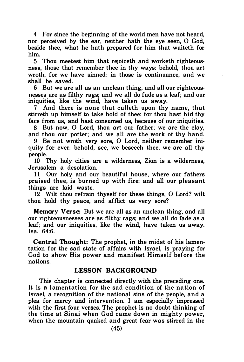4 For since the beginning of the world men have not heard, nor perceived by the ear, neither hath the eye seen, 0 God, beside thee, what he hath prepared for him that waiteth for him.

5 Thou meetest him that rejoiceth and worketh righteousness, those that remember thee in thy ways: behold, thou art wroth; for we have sinned: in those is continuance, and we shall be saved.

6 But we are all as an unclean thing, and all our righteousnesses are as filthy rags; and we all do fade as a leaf; and our iniquities, like the wind, have taken us away.

7 And there is none that calleth upon thy name, that stirreth up himself to take hold of thee: for thou hast hid thy face from us, and hast consumed us, because of our iniquities.

8 But now, 0 Lord, thou art our father; we are the clay, and thou our potter; and we all are the work of thy hand.

9 Be not wroth very sore, 0 Lord, neither remember iniquity for ever: behold, see, we beseech thee, we are all thy people.

10 Thy holy cities are a wilderness, Zion is a wilderness, Jerusalem a desolation.

11 Our holy and our beautiful house, where our fathers praised thee, is burned up with fire: and all our pleasant things are laid waste.

12 Wilt thou refrain thyself for these things, 0 Lord? wilt thou hold thy peace, and afflict us very sore?

Memory Verse: But we are all as an unclean thing, and all our righteousnesses are as filthy rags; and we all do fade as a leaf; and our iniquities, like the wind, have taken us away. Isa. 64:6.

Central Thought: The prophet, in the midst of his lamentation for the sad state of affairs with Israel, is praying for God to show His power and manifest Himself before the nations.

#### LESSON BACKGROUND

This chapter is connected directly with the preceding one. It is a lamentation for the sad condition of the nation of Israel, a recognition of the national sins of the people, and a plea for mercy and intervention. I am especially impressed with the first four verses. The prophet is no doubt thinking of the time at Sinai when God came down in mighty power, when the mountain quaked and great fear was stirred in the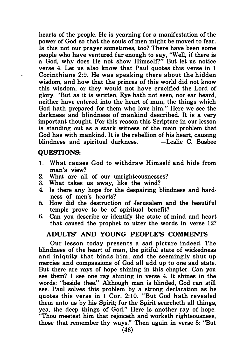hearts of the people. He is yearning for a manifestation of the power of God so that the souls of men might be moved to fear. Is this not our prayer sometimes, too? There have been some people who have ventured far enough to say, "Well, if there is a God, why does He not show Himself?" But let us notice verse 4. Let us also know that Paul quotes this verse in 1 Corinthians 2:9. He was speaking there about the hidden wisdom, and how that the princes of this world did not know this wisdom, or they would not have crucified the Lord of glory. "But as it is written, Eye hath not seen, nor ear heard, neither have entered into the heart of man, the things which God hath prepared for them who love him." Here we see the darkness and blindness of mankind described. It is a very important thought. For this reason this Scripture in our lesson is standing out as a stark witness of the main problem that God has with mankind. It is the rebellion of his heart, causing<br>blindness and spiritual darkness. - Leslie C. Busbee blindness and spiritual darkness.

#### QUESTIONS:

 $\cdot$ 

- 1. What causes God to withdraw Himself and hide from man's view?
- 2. What are all of our unrighteousnesses?
- 3. What takes us away, like the wind?
- 4. Is there any hope for the despairing blindness and hardness of men's hearts?
- 5. How did the destruction of Jerusalem and the beautiful temple prove to be of spiritual benefit?
- 6. Can you describe or identify the state of mind and heart that caused the prophet to utter the words in verse 12?

#### ADULTS' AND YOUNG PEOPLE'S COMMENTS

Our lesson today presents a sad picture indeed. The blindness of the heart of man, the pitiful state of wickedness and iniquity that binds him, and the seemingly shut up mercies and compassions of God all add up to one sad state. But there are rays of hope shining in this chapter. Can you see them? I see one ray shining in verse 4. It shines in the words: "beside thee." Although man is blinded, God can still see. Paul solves this problem by a strong declaration as he quotes this verse in 1 Cor. 2:10. "But God hath revealed them unto us by his Spirit; for the Spirit searcheth all things, yea, the deep things of God." Here is another ray of hope: "Thou meetest him that rejoiceth and worketh righteousness, those that remember thy ways." Then again in verse 8: "But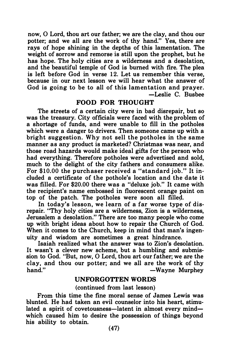now, 0 Lord, thou art our father; we are the clay, and thou our potter; and we all are the work of thy hand." Yes, there are rays of hope shining in the depths of this lamentation. The weight of sorrow and remorse is still upon the prophet, but he has hope. The holy cities are a wilderness and a desolation, and the beautiful temple of God is burned with fire. The plea is left before God in verse 12. Let us remember this verse, because in our next lesson we will hear what the answer of God is going to be to all of this lamentation and prayer. -Leslie C. Busbee

#### FOOD FOR THOUGHT

The streets of a certain city were in bad disrepair, but so was the treasury. City officials were faced with the problem of a shortage of funds, and were unable to fill in the potholes which were a danger to drivers. Then someone came up with a bright suggestion. Why not sell the potholes in the same manner as any product is marketed? Christmas was near, and those road hazards would make ideal gifts for the person who had everything. Therefore potholes were advertised and sold, much to the delight of the city fathers and consumers alike. For \$10.00 the purch aser received a "standard job." It included a certificate of the pothole's location and the date it was filled. For \$20.00 there was a "deluxe job." It came with the recipient's name embossed in fluorescent orange paint on top of the patch. The potholes were soon all filled.

In today's lesson, we learn of a far worse type of disrepair. "Thy holy cities are a wilderness, Zion is a wilderness, Jerusalem a desolation." There are too many people who come up with bright ideas about how to repair the Church of God. When it comes to the Church, keep in mind that man's ingenuity and wisdom are sometimes a great hindrance.

Isaiah realized what the answer was to Zion's desolation. It wasn't a clever new scheme, but a humbling and submission to God. "But, now, 0 Lord, thou art our father; we are the clay, and thou our potter; and we all are the work of thy hand." — Wayne Murphey

#### UNFORGOTTEN WORDS

#### (continued from last lesson)

From this time the fine moral sense of James Lewis was blunted. He had taken an evil counselor into his heart, stimulated a spirit of covetousness—latent in almost every mind which caused him to desire the possession of things beyond his ability to obtain.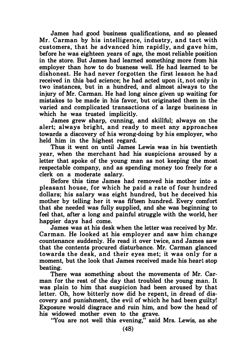James had good business qualifications, and so pleased Mr. Carman by his intelligence, industry, and tact with customers, that he advanced him rapidly, and gave him, before he was eighteen years of age, the most reliable position in the store. But James had learned something more from his employer than how to do busness well. He had learned to be dishonest. He had never forgotten the first lesson he had received in this bad science; he had acted upon it, not only in two instances, but in a hundred, and almost always to the injury of Mr. Carman. He had long since given up waiting for mistakes to be made in his favor, but originated them in the varied and complicated transactions of a large business in which he was trusted implicitly.

James grew sharp, cunning, and skillful; always on the alert; always bright, and ready to meet any approaches towards a discovery of his wrong-doing by his employer, who held him in the highest regard.

Thus it went on until James Lewis was in his twentieth year, when the merchant had his suspicions aroused by a letter that spoke of the young man as not keeping the most respectable company, and as spending money too freely for a clerk on a moderate salary.

Before this time James had removed his mother into a pleasant house, for which he paid a rate of four hundred dollars; his salary was eight hundred, but he deceived his mother by telling her it was fifteen hundred. Every comfort that she needed was fully supplied, and she was beginning to feel that, after a long and painful struggle with the world, her happier days had come.

James was at his desk when the letter was received by Mr. Carman. He looked at his employer and saw him change countenance suddenly. He read it over twice, and James saw that the contents procured disturbance. Mr. Carman glanced towards the desk, and their eyes met; it was only for a moment, but the look that James received made his heart stop beating.

There was something about the movements of Mr. Carman for the rest of the day that troubled the young man. It was plain to him that suspicion had been aroused by that letter. Oh, how bitterly now did he repent, in dread of discovery and punishment, the evil of which he had been guilty! Exposure would disgrace and ruin him, and bow the head of his widowed mother even to the grave.

"You are not well this evening," said Mrs. Lewis, as she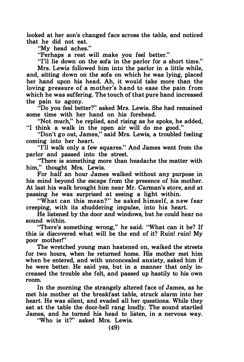looked at her son's changed face across the table, and noticed that he did not eat.

"My head aches."

"Perhaps a rest will make you feel better."

"I'll lie down on the sofa in the parlor for a short time."

Mrs. Lewis followed him into the parlor in a little while, and, sitting down on the sofa on which he was lying, placed her hand upon his head. Ah, it would take more than the loving pressure of a mother's hand to ease the pain from which he was suffering. The touch of that pure hand increased the pain to agony.

"Do you feel better?" asked Mrs. Lewis. She had remained some time with her hand on his forehead.

"Not much," he replied, and rising as he spoke, he added, "I think a walk in the open air will do me good."

"Don't go out, James," said Mrs. Lewis, a troubled feeling coming into her heart.

''I'll walk only a few squares." And James went from the parlor and passed into the street.

"There is something more than headache the matter with him," thought Mrs. Lewis.

For half an hour James walked without any purpose in his mind beyond the escape from the presence of his mother. At last his walk brought him near Mr. Carman's store, and at passing he was surprised at seeing a light within.

"What can this mean?'' he asked himself, a new fear creeping, with its shuddering impulse, into his heart.

He listened by the door and windows, but he could hear no sound within.

"There's something wrong," he said. "What can it be? If this is discovered what will be the end of it? Ruin! ruin! My poor mother!"

The wretched young man hastened on, walked the streets for two hours, when he returned home. His mother met him when he entered, and with unconcealed anxiety, asked him if he were better. He said yes, but in a manner that only increased the trouble she felt, and passed up hastily to his own room.

In the morning the strangely altered face of James, as he met his mother at the breakfast table, struck alarm into her heart. He was silent, and evaded all her questions. While they sat at the table the door-bell rang loudly. The sound startled James, and he turned his head to listen, in a nervous way.

"Who is it?" asked Mrs. Lewis.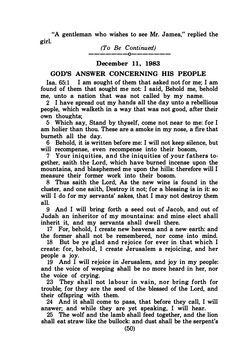"A gentleman who wishes to see Mr. James," replied the girl.

> (To Be Continued) -------0-------

#### December 11, 1983

#### GOD'S ANSWER CONCERNING HIS PEOPLE

Isa. 65:1 I am sought of them that asked not for me: I am found of them that sought me not: I said, Behold me, behold me, unto a nation that was not called by my name.

2 I have spread out my hands all the day unto a rebellious people, which walketh in a way that was not good, after their own thoughts;

5 Which say, Stand by thyself, come not near to me: for I am holier than thou. These are a smoke in my nose, a fire that bumeth all the day.

6 Behold, it is written before me: I will not keep silence, but will recompense, even recompense into their bosom,

7 Your iniquities, and the iniquities of your fathers together, saith the Lord, which have burned incense upon the mountains, and blasphemed me upon the hills: therefore will I measure their former work into their bosom.

8 Thus saith the Lord, As the new wine is found in the cluster, and one saith, Destroy it not; for a blessing is in it: so will I do for my servants' sakes, that I may not destroy them all.

9 And I will bring forth a seed out of Jacob, and out of Judah an inheritor of my mountains: and mine elect shall inherit it, and my servants shall dwell there.

17 For, behold, I create new heavens and a new earth: and the former shall not be remembered, nor come into mind.

18 But be ye glad and rejoice for ever in that which I create: for, behold, I create Jerusalem a rejoicing, and her people a joy.

19 And I will rejoice in Jerusalem, and joy in my people: and the voice of weeping shall be no more heard in her, nor the voice of crying.

23 They shall not labour in vain, nor bring forth for trouble; for they are the seed of the blessed of the Lord, and their offspring with them.

24 And it shall come to pass, that before they call, I will answer; and while they are yet speaking, I will hear.

25 The wolf and the lamb shall feed together, and the lion shall eat straw like the bullock: and dust shall be the serpent's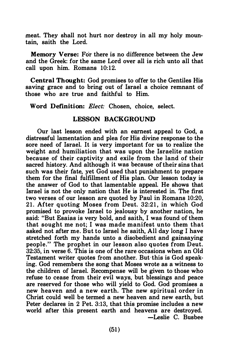meat. They shall not hurt nor destroy in all my holy mountain, saith the Lord.

Memory Verse: For there is no difference between the Jew and the Greek: for the same Lord over all is rich unto all that call upon him. Romans 10:12.

Central Thought: God promises to offer to the Gentiles His saving grace and to bring out of Israel a choice remnant of those who are true and faithful to Him.

Word Definition: Elect: Chosen, choice, select.

#### LESSON BACKGROUND

Our last lesson ended with an earnest appeal to God, a distressful lamentation and plea for His divine response to the sore need of Israel. It is very important for us to realize the weight and humiliation that was upon the Israelite nation because of their captivity and exile from the land of their sacred history. And although it was because of their sins that such was their fate, yet God used that punishment to prepare them for the final fulfillment of His plan. Our lesson today is the answer of God to that lamentable appeal. He shows that Israel is not the only nation that He is interested in. The first two verses of our lesson are quoted by Paul in Romans 10:20, 21. After quoting Moses from Deut. 32:21, in which God promised to provoke Israel to jealousy by another nation, he said: "But Esaias is very bold, and saith, I was found of them that sought me not; I was made manifest unto them that asked not after me. But to Israel he saith, All day long I have stretched forth my hands unto a disobedient and gainsaying people." The prophet in our lesson also quotes from Deut. 32:35, in verse 6. This is one of the rare occasions when an Old Testament writer quotes from another. But · this is God speaking. God remembers the song that Moses wrote as a witness to the children of Israel. Recompense will be given to those who refuse to cease from their evil ways, but blessings and peace are reserved for those who will yield to God. God promises a new heaven and a new earth. The new spiritual order in Christ could well be termed a new heaven and new earth, but Peter declares in 2 Pet. 3:13, that this promise includes a new world after this present earth and heavens are destroyed. -Leslie C. Busbee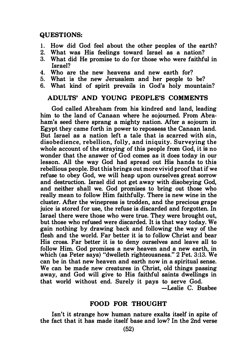#### QUESTIONS:

- 1. How did God feel about the other peoples of the earth?
- 2. What was His feelings toward Israel as a nation?
- What did He promise to do for those who were faithful in Israel?
- 4. Who are the new heavens and new earth for?
- 5. What is the new Jerusalem and her people to be?
- 6. What kind of spirit prevails in God's holy mountain?

#### ADULTS' AND YOUNG PEOPLE'S COMMENTS

God called Abraham from his kindred and land, leading him to the land of Canaan where he sojourned. From Abraham's seed there sprang a mighty nation. After a sojourn in Egypt they came forth in power to repossess the Canaan land. But Israel as a nation left a tale that is scarred with sin, disobedience, rebellion, folly, and iniquity. Surveying the whole account of the straying of this people from God, it is no wonder that the answer of God comes as it does today in our lesson. All the way God had spread out His hands to this rebellious people. But this brings out more vivid proof that if we refuse to obey God, we will heap upon ourselves great sorrow and destruction. Israel did not get away with disobeying God, and neither shall we. God promises to bring out those who really mean to follow Him faithfully. There is new wine in the cluster. After the winepress is trodden, and the precious grape juice is stored for use, the refuse is discarded and forgotten. In Israel there were those who were true. They were brought out, but those who refused were discarded. It is that way today. We gain nothing by drawing back and following the way of the flesh and the world. Far better it is to follow Christ and bear His cross. Far better it is to deny ourselves and leave all to follow Him. God promises a new heaven and a new earth, in which (as Peter says) "dwelleth righteousness." 2 Pet. 3:13. We can be in that new heaven and earth now in a spiritual sense. We can be made new creatures in Christ, old things passing away, and God will give to His faithful saints dwellings in that world without end. Surely it pays to serve God. -Leslie C. Busbee

#### FOOD FOR THOUGHT

Isn't it strange how human nature exalts itself in spite of the fact that it has made itself base and low? In the 2nd verse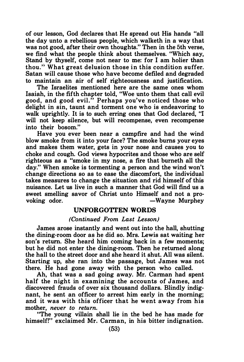of our lesson, God declares that He spread out His hands "all the day unto a rebellious people, which walketh in a way that was not good, after their own thoughts." Then in the 5th verse, we find what the people think about themselves. "Which say, Stand by thyself, come not near to me: for I am holier than thou. '; What great delusion those in this condition suffer. Satan will cause those who have become defiled and degraded to maintain an air of self righteousness and justification.

The Israelites mentioned here are the same ones whom Isaiah, in the fifth chapter told, "Woe unto them that call evil good, and good evil." Perhaps you've noticed those who delight in sin, taunt and torment one who is endeavoring to walk uprightly. It is to such erring ones that God declared, "I will not keep silence, but will recompense, even recompense into their bosom."

Have you ever been near a campfire and had the wind blow smoke from it into your face? The smoke bums your eyes and makes them water, gets in your nose and causes you to choke and cough. God views hypocrites and those who are self righteous as a "smoke in my nose, a fire that burneth all the day." When smoke is tormenting a person and the wind won't change directions so as to ease the discomfort, the individual takes measures to change the situation and rid himself of this nuisance. Let us live in such a manner that God will find us a sweet smelling savor of Christ unto Himself and not a provoking odor.  $-Wayne$  Murphey

#### UNFORGOTTEN WORDS

#### (Continued From Last Lesson)

James arose instantly and went out into the hall, shutting the dining-room door as he did so. Mrs. Lewis sat waiting her son's return. She heard him coming back in a few moments; but he did not enter the dining-room. Then he returned along the hall to the street door and she heard it shut. All was silent. Starting up, she ran into the passage, but James was not there. He had gone away with the person who called.

Ah, that was a sad going away. Mr. Carman had spent half the night in examining the accounts of James, and discovered frauds of over six thousand dollars. Blindly indignant, he sent an officer to arrest him early in the morning; and it was with this officer that he went away from his mother, never to return.

"The young villain shall lie in the bed he has made for himself!" exclaimed Mr. Carman, in his bitter indignation.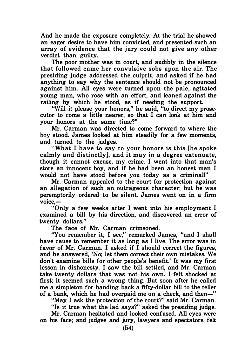And he made the exposure completely. At the trial he showed an eager desire to have him convicted, and presented such an array of evidence that the jury could not give any other verdict than guilty.

The poor mother was in court, and audibly in the silence that followed came her convulsive sobs upon the air. The presiding judge addressed the culprit, and asked if he had anything to say why the sentence should not be pronounced against him. All eyes were turned upon the pale, agitated young man, who rose with an effort, and leaned against the railing by which he stood, as if needing the support.

"Will it please your honors," he said, "to direct my prosecutor to come a little nearer, so that I can look at him and your honors at the same time?''

Mr. Carman was directed to come forward to where the boy stood. James looked at him steadily for a few moments, and turned to the judges.

"What I have to say to your honors is this [he spoke calmly and distinctly], and it may in a degree extenuate, though it cannot excuse, my crime. I went into that man's store an innocent boy, and if he had been an honest man I would not have stood before you today as a criminal!"

Mr. Carman appealed to the court for protection against an allegation of such an outrageous character; but he was peremptorily ordered to be silent. James went on in a firm  $v^{\text{oice}}$ 

"Only a few weeks after I went into his employment I examined a bill by his direction, and discovered an error of twenty dollars."

The face of Mr. Carman crimsoned.

"You remember it, I see," remarked James, "and I shall have cause to remember it as long as I live. The error was in favor of Mr. Carman. I asked if I should correct the figures, and he answered, 'No; let them correct their own mistakes. We don't examine bills for other people's benefit.' It was my first lesson in dishonesty. I saw the bill settled, and Mr. Carman take twenty dollars that was not his own. I felt shocked at first; it seemed such a wrong thing. But soon after he called me a simpleton for handing back a fifty-dollar bill to the teller of a bank, which he had overpaid me on a check, and then-"

"May I ask the protection of the court?" said Mr. Carman.

"Is it true what the lad says?" asked the presiding judge.

Mr. Carman hesitated and looked confused. All eyes were on his face; and judges and jury, lawyers and spectators, felt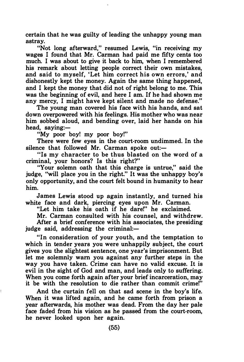certain that he was guilty of leading the unhappy young man astray.

"Not long afterward," resumed Lewis, "in receiving my wages I found that Mr. Carman had paid me fifty cents too much. I was about to give it back to him, when I remembered his remark about letting people correct their own mistakes, and said to myself, 'Let him correct his own errors,' and dishonestly kept the money. Again the same thing happened, and I kept the money that did not of right belong to me. This was the beginning of evil, and here I am. If he had shown me any mercy, I might have kept silent and made no defense."

The young man covered his face with his hands, and sat down overpowered with his feelings. His mother who was near him sobbed aloud, and bending over, laid her hands on his head, saving: $-$ 

"My poor boy! my poor boy!"

There were few eyes in the court-room undimmed. In the silence that followed Mr. Carman spoke out: $-$ 

"Is my character to be thus blasted on the word of a criminal, your honors? Is this right?"

"Your solemn oath that this charge is untrue," said the judge, "will place you in the right." It was the unhappy boy's only opportunity; and the court felt bound in humanity to hear him.

James Lewis stood up again instantly, and turned his white face and dark, piercing eyes upon Mr. Carman.

"Let him take his oath if he dare!" he exclaimed.

Mr. Carman consulted with his counsel, and withdrew. After a brief conference with his associates, the presiding  $i$ udge said, addressing the criminal: $-$ 

"In consideration of your youth, and the temptation to which in tender years you were unhappily subject, the court gives you the slightest sentence, one year's imprisonment. But let me solemnly warn you against any further steps in the way you have taken. Crime can have no valid excuse. It is evil in the sight of God and man, and leads only to suffering. When you come forth again after your brief incarceration, may it be with the resolution to die rather than commit crime!"

And the curtain fell on that sad scene in the boy's life. When it was lifted again, and he came forth from prison a year afterwards, his mother was dead. From the day her pale face faded from his vision as he passed from the court-room, he never looked upon her again.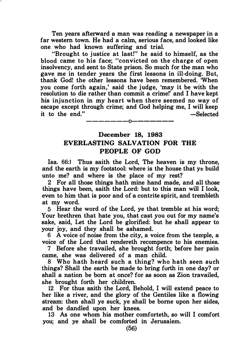Ten years afterward a man was reading a newspaper in a far western town. He had a calm, serious face, and looked like one who had known suffering and trial.

"Brought to justice at last!" he said to himself, as the blood came to his face; "convicted on the charge of open insolvency, and sent to State prison. So much for the man who gave me in tender years the first lessons in ill-doing. But, thank God! the other lessons have been remembered. 'When you come forth again,' said the judge, 'may it be with the resolution to die rather than commit a crime!' and I have kept his injunction in my heart when there seemed no way of escape except through crime; and God helping me, I will keep it to the end." -Selected

### December 18, 1983 EVERLASTING SALVATION FOR THE PEOPLE OF GOD

-------0-------

Isa. 66:1 Thus saith the Lord, The heaven is my throne, and the earth is my footstool: where is the house that ye build unto me? and where is the place of my rest?

2 For all those things hath mine hand made, and all those things have been, saith the Lord: but to this man will I look, even to him that is poor and of a contrite spirit, and trembleth at my word.

5 Hear the word of the Lord, ye that tremble at his word; Your brethren that hate you, that cast you out for my name's sake, said, Let the Lord be glorified: but he shall appear to your joy, and they shall be ashamed.

6 A voice of noise from the city, a voice from the temple, a voice of the Lord that rendereth recompence to his enemies.

7 Before she travailed, she brought forth; before her pain came, she was delivered of a man child.

8 Who hath heard such a thing? who hath seen such things? Shall the earth be made to bring forth in one day? or shall a nation be born at once? for as soon as Zion travailed, she brought forth her children.

12 For thus saith the Lord, Behold, I will extend peace to her like a river, and the glory of the Gentiles like a flowing stream: then shall ye suck, ye shall be borne upon her sides, and be dandled upon her knees.

13 As one whom his mother comforteth, so will I comfort you; and ye shall be comforted in Jerusalem.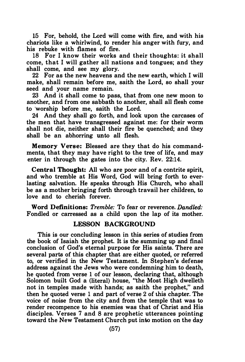15 For, behold, the Lord will come with fire, and with his chariots like a whirlwind, to render his anger with fury, and his rebuke with flames of frre.

18 For I know their works and their thoughts: it shall come, that I will gather all nations and tongues; and they shall come, and see my glory.

22 For as the new heavens and the new earth, which I will make, shall remain before me, saith the Lord, so shall your seed and your name remain.

23 And it shall come to pass, that from one new moon to another, and from one sabbath to another, shall all flesh come to ·worship before me, saith the Lord.

24 And they shall go forth, and look upon the carcases of the men that have transgressed against me: for their worm shall not die, neither shall their fire be quenched; and they shall be an abhorring unto all flesh.

Memory Verse: Blessed are they that do his commandments, that they may have right to the tree of life, and may enter in through the gates into the city. Rev. 22:14.

Central Thought: All who are poor and of a contrite spirit, and who tremble at His Word, God will bring forth to everlasting salvation. He speaks through His Church, who shall be as a mother bringing forth through travail her children, to love and to cherish forever.

Word Definitions: Tremble: To fear or reverence. Dandled: Fondled or carressed as a child upon the lap of its mother.

#### LESSON BACKGROUND

This is our concluding lesson in this series of studies from the book of Isaiah the prophet. It is the summing up and final conclusion of God's eternal purpose for His saints. There are several parts of this chapter that are either quoted, or referred to, or verified in the New Testament. In Stephen's defense address against the Jews who were condemning him to death, he quoted from verse 1 of our lesson, declaring that, although Solomon built God a (literal) house, "the Most High dwelleth not in temples made with hands; as saith the prophet," and then he quoted verse 1 and part of verse 2 of this chapter. The voice of noise from the city and from the temple that was to render recompence to his enemies was that of Christ and His disciples. Verses 7 and 8 are prophetic utterances pointing toward the New Testament Church put into motion on the day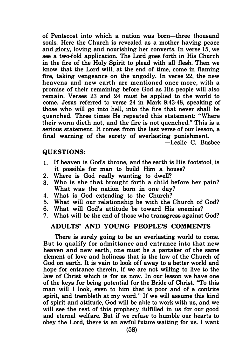of Pentecost into which a nation was hom-three thousand souls. Here the Church is revealed as a mother having peace and glory, loving and nourishing her converts. In verse 15, we see a two-fold application. The Lord goes forth in His Church in the fire of the Holy Spirit to plead with all flesh. Then we know that the Lord will, at the end of time, come in flaming fire, taking vengeance on the ungodly. In verse 22, the new heavens and new earth are mentioned once more, with a promise of their remaining before God as His people will also remain. Verses 23 and 24 must be applied to the world to come. Jesus referred to verse 24 in Mark 9:43-48, speaking of those who will go into hell, into the fire that never shall be quenched. Three times He repeated this statement: "Where their worm dieth not, and the fire is not quenched." This is a serious statement. It comes from the last verse of our lesson, a final warning of the surety of everlasting punishment.

-Leslie C. Busbee

#### QUESTIONS:

- 1 . If heaven is God's throne, and the earth is His footstool, is it possible for man to build Him a house?
- 2. Where is God really wanting to dwell?
- 3. Who is she that brought forth a child before her pain? What was the nation born in one day?
- 4. What is God extending to the Church?
- 5. What will our relationship be with the Church of God?
- 6. What will God's attitude be toward His enemies?
- What will be the end of those who transgress against God?

#### ADULTS' AND YOUNG PEOPLE'S COMMENTS

There is surely going to be an everlasting world to come. But to qualify for admittance and entrance into that new heaven and new earth, one must be a partaker of the same element of love and holiness that is the law of the Church of God on earth. It is vain to look off away to a better world and hope for entrance therein, if we are not willing to live to the law of Christ which is for us now. In our lesson we have one of the keys for being potential for the Bride of Christ. "To this man will I look, even to him that is poor and of a contrite spirit, and trembleth at my word!' If we will assume this kind of spirit and attitude, God will be able to work with us, and we will see the rest of this prophecy fulfilled in us for our good and eternal welfare. But if we refuse to humble our hearts to obey the Lord, there is an awful future waiting for us. I want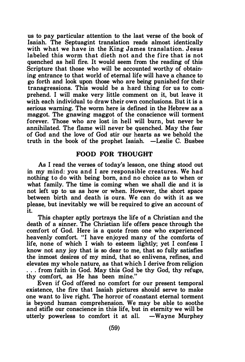us to pay particular attention to the last verse of the book of Isaiah. The Septuagint translation reads almost identically with what we have in the King James translation. Jesus labeled this worm that dieth not and the fire that is not quenched as hell fire. It would seem from the reading of this Scripture that those who will be accounted worthy of obtaining entrance to that world of eternal life will have a chance to go forth and look upon those who are being punished for their transgressions. This would be a hard thing for us to comprehend. I will make very little comment on it, but leave it with each individual to draw their own conclusions. But it is a serious warning. The worm here is defined in the Hebrew as a maggot. The gnawing maggot of the conscience will torment forever. Those who are lost in hell will burn, but never be annihilated. The flame will never be quenched. May the fear of God and the love of God stir our hearts as we behold the truth in the book of the prophet Isaiah. -Leslie C. Busbee

#### FOOD FOR THOUGHT

As I read the verses of today's lesson, one thing stood out in my mind: you and I are responsible creatures. We had nothing to do with being born, and no choice as to when or what family. The time is coming when we shall die and it is not left up to us as how or when. However, the short space between birth and death is ours. We can do with it as we please, but inevitably we will be required to give an account of it.

This chapter aptly portrays the life of a Christian and the death of a sinner. The Christian life offers peace through the comfort of God. Here is a quote from one who experienced heavenly comfort. "I have enjoyed many of the comforts of life, none of which I wish to esteem lightly; yet I confess I know not any joy that is so dear to me, that so fully satisfies the inmost desires of my mind, that so enlivens, refines, and elevates my whole nature, as that which I derive from religion . . . from faith in God. May this God be thy God, thy refuge, thy comfort, as He has been mine."

Even if God offered no comfort for our present temporal existence, the fire that Isaiah pictures should serve to make one want to live right. The horror of constant eternal torment is beyond human comprehension. We may be able to soothe and stifle our conscience in this life, but in eternity we will be utterly powerless to comfort it at all.  $-Wavne$  Murphey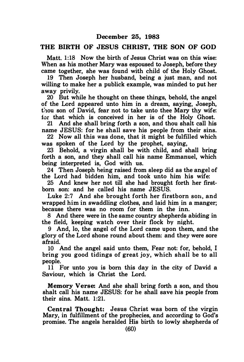#### THE BIRTH OF JESUS CHRIST, THE SON OF GOD

Matt. 1:18 Now the birth of Jesus Christ was on this wise: When as his mother Mary was espoused to Joseph, before they came together, she was found with child of the Holy Ghost.

19 Then Joseph her husband, being a just man, and not willing to make her a publick example, was minded to put her away privily.

20 But while he thought on these things, behold, the angel of the Lord appeared unto him in a dream, saying, Joseph, thou son of David, fear not to take unto thee Mary thy wife: for that which is conceived in her is of the Holy Ghost.

21 And she shall bring forth a son, and thou shalt call his name JESUS: for he shall save his people from their sins.

22 Now all this was done, that it might be fulfilled which was spoken of the Lord by the prophet, saving,

23 Behold, a virgin shall be with child, and shall bring forth a son, and they shall call his name Emmanuel, which being interpreted is, God with us.

24 Then Joseph heing raised from sleep did as the angel of the Lord had bidden him, and took unto him his wife:

25 And knew her not till she had brought forth her firstborn son: and he called his name JESUS.

Luke 2:7 And she brought forth her firstborn son, and wrapped him in swaddling clothes, and laid him in a manger; because there was no room for them in the inn.

8 And there were in the same country shepherds abiding in the field, keeping watch over their flock by night.

9 And, lo, the angel of the Lord came upon them, and the glory of the Lord shone round about them: and they were sore afraid.

10 And the angel said unto them, Fear not: for, behold, I bring you good tidings of great joy, which shall be to all people.

11 For unto you is born this day in the city of David a Saviour, which is Christ the Lord.

Memory Verse: And she shall bring forth a son, and thou shalt call his name JESUS: for he shall save his people from their sins. Matt. 1:21.

Central Thought: Jesus Christ was born of the virgin Mary, in fulfillment of the prophecies, and according to God's promise. The angels heralded His birth to lowly shepherds of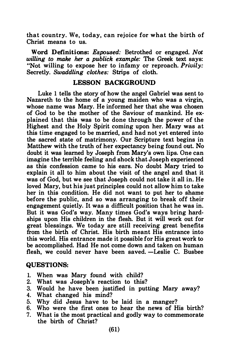that country. We, today, can rejoice for what the birth of Christ means to us.

Word Definitions: Espoused: Betrothed or engaged. Not willing to make her a publick example: The Greek text says: "Not willing to expose her to infamy or reproach. Privily: Secretly. Swaddling clothes: Strips of cloth.

#### LESSON BACKGROUND

Luke 1 tells the story of how the angel Gabriel was sent to Nazareth to the home of a young maiden who was a virgin, whose name was Mary. He informed her that she was chosen of God to be the mother of the Saviour of mankind. He explained that this was to be done through the power of the Highest and the Holy Spirit coming upon her. Mary was at this time engaged to be married, and had not yet entered into the sacred state of matrimony. Our Scripture text begins in Matthew with the truth of her expectancy being found out. No doubt it was learned by Joseph from Mary's own lips. One can imagine the terrible feeling and shock that Joseph experienced as this confession came to his ears. No doubt Mary tried to explain it all to him about the visit of the angel and that it was of God, but we see that Joseph could not take it all in. He loved Mary, but his just principles could not allow him to take her in this condition. He did not want to put her to shame before the public, and so was arranging to break off their engagement quietly. It was a difficult position that he was in. But it was God's way. Many times God's ways bring hardships upon His children in the flesh. But it will work out for great blessings. We today are still receiving great benefits from the birth of Christ. His birth meant His entrance into this world. His entrance made it possible for His great work to be accomplished. Had He not come down and taken on human flesh, we could never have been saved. - Leslie C. Busbee

#### QUESTIONS:

- 1. When was Mary found with child?
- 2. What was Joseph's reaction to this?
- 3. Would he have been justified in putting Mary away?
- 4. What changed his mind?
- 5. Why did Jesus have to be laid in a manger?
- 6. Who were the first ones to hear the news of His birth?
- 7. What is the most practical and godly way to commemorate the birth of Christ?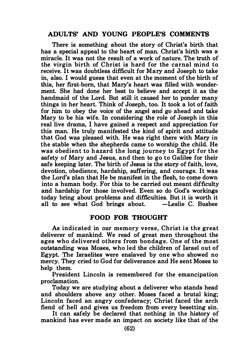#### ADULTS' AND YOUNG PEOPLE'S COMMENTS

There is something about the story of Christ's birth that has a special appeal to the heart of man. Christ's birth was a miracle. It was not the result of a work of nature. The truth of the virgin birth of Christ is hard for the carnal mind to receive. It was doubtless difficult for Mary and Joseph to take in, also. I would guess that even at the moment of the birth of this, her first-born, that Mary's heart was filled with wonderment. She had done her best to believe and accept it as the handmaid of the Lord. But still it caused her to ponder many things in her heart. Think of Joseph, too. It took a lot of faith for him to obey the voice of the angel and go ahead and take Mary to be his wife. In considering the role of Joseph in this real live drama, I have gained a respect and appreciation for this man. He truly manifested the kind of spirit and attitude that God was pleased with. He was right there with Mary in the stable when the shepherds came to worship the child. He was obedient to hazard the long journey to Egypt for the safety of Mary and Jesus, and then to go to Galilee for their safe keeping later. The birth of Jesus is the story of faith, love, devotion, obedience, hardship, suffering, and courage. It was the Lord's plan that He be manifest in the flesh, to come down into a human body. For this to be carried out meant difficulty and hardship for those involved. Even so do God's workings today bring about problems and difficulties. But it is worth it all to see what  $God \, brines$  about.  $-Leslie \, C.$  Busbee

#### FOOD FOR THOUGHT

As indicated in our memory verse, Christ is the great deliverer of mankind. We read of great men throughout the ages who delivered others from bondage. One of the most outstanding was Moses, who led the children of Israel out of Egypt. The Israelites were enslaved by one who showed no mercy. They cried to God for deliverance and He sent Moses to help them.

President Lincoln is remembered for the emancipation proclamation.

Today we are studying about a deliverer who stands head and shoulders above any other. Moses faced a brutal king; Lincoln faced an angry confederacy; Christ faced the arch fiend of hell and gives us freedom from every besetting sin.

It can safely be declared that nothing in the history of mankind has ever made an impact on society like that of the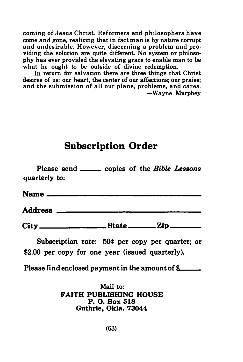# Subscription Order

| coming of Jesus Christ. Reformers and philosophers have<br>come and gone, realizing that in fact man is by nature corrupt<br>and undesirable. However, discerning a problem and pro-<br>viding the solution are quite different. No system or philoso-<br>phy has ever provided the elevating grace to enable man to be<br>what he ought to be outside of divine redemption.<br>In return for salvation there are three things that Christ<br>desires of us: our heart, the center of our affections; our praise;<br>and the submission of all our plans, problems, and cares.<br>-Wayne Murphey |
|--------------------------------------------------------------------------------------------------------------------------------------------------------------------------------------------------------------------------------------------------------------------------------------------------------------------------------------------------------------------------------------------------------------------------------------------------------------------------------------------------------------------------------------------------------------------------------------------------|
| <b>Subscription Order</b>                                                                                                                                                                                                                                                                                                                                                                                                                                                                                                                                                                        |
| Please send ______ copies of the Bible Lessons<br>quarterly to:                                                                                                                                                                                                                                                                                                                                                                                                                                                                                                                                  |
|                                                                                                                                                                                                                                                                                                                                                                                                                                                                                                                                                                                                  |
|                                                                                                                                                                                                                                                                                                                                                                                                                                                                                                                                                                                                  |
|                                                                                                                                                                                                                                                                                                                                                                                                                                                                                                                                                                                                  |
| Subscription rate: 50¢ per copy per quarter; or<br>\$2.00 per copy for one year (issued quarterly).                                                                                                                                                                                                                                                                                                                                                                                                                                                                                              |
| Please find enclosed payment in the amount of \$                                                                                                                                                                                                                                                                                                                                                                                                                                                                                                                                                 |
|                                                                                                                                                                                                                                                                                                                                                                                                                                                                                                                                                                                                  |

Mail to: FAITH PUBLISHING HOUSE P. 0. Box 518 Guthrie, Okla. 73044